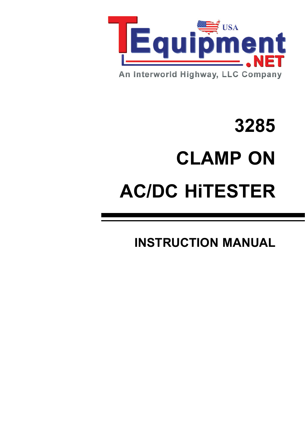

# **3285 CLAMP ON AC/DC HiTESTER**

**INSTRUCTION MANUAL**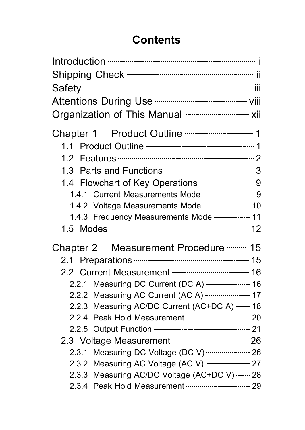### **Contents**

| 1.3   |                                                                |  |
|-------|----------------------------------------------------------------|--|
|       |                                                                |  |
|       | 1.4.1 Current Measurements Mode ------------------------- 9    |  |
|       |                                                                |  |
|       | 1.4.3 Frequency Measurements Mode  11                          |  |
|       |                                                                |  |
|       | Chapter 2 Measurement Procedure ---------- 15                  |  |
|       |                                                                |  |
|       |                                                                |  |
|       | 2.2.1 Measuring DC Current (DC A)  16                          |  |
|       | 2.2.2 Measuring AC Current (AC A)  17                          |  |
|       | 2.2.3 Measuring AC/DC Current (AC+DC A)  18                    |  |
| 2.2.4 |                                                                |  |
|       |                                                                |  |
|       | 2.3 Voltage Measurement ----------------------------------- 26 |  |
| 2.3.1 | Measuring DC Voltage (DC V) --------------------- 26           |  |
|       | 2.3.2 Measuring AC Voltage (AC V)  27                          |  |
| 2.3.3 | Measuring AC/DC Voltage (AC+DC V)  28                          |  |
|       |                                                                |  |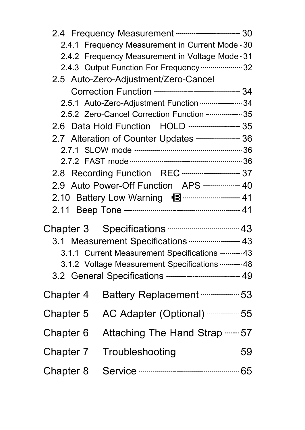| 2.4 Frequency Measurement ------------------------------- 30 |                                                                                                                                                                                                                                                                                                                              |
|--------------------------------------------------------------|------------------------------------------------------------------------------------------------------------------------------------------------------------------------------------------------------------------------------------------------------------------------------------------------------------------------------|
| 2.4.1 Frequency Measurement in Current Mode - 30             |                                                                                                                                                                                                                                                                                                                              |
| 2.4.2 Frequency Measurement in Voltage Mode · 31             |                                                                                                                                                                                                                                                                                                                              |
| 2.4.3 Output Function For Frequency  32                      |                                                                                                                                                                                                                                                                                                                              |
| 2.5 Auto-Zero-Adjustment/Zero-Cancel                         |                                                                                                                                                                                                                                                                                                                              |
|                                                              |                                                                                                                                                                                                                                                                                                                              |
| 2.5.1 Auto-Zero-Adjustment Function  34                      |                                                                                                                                                                                                                                                                                                                              |
|                                                              |                                                                                                                                                                                                                                                                                                                              |
|                                                              |                                                                                                                                                                                                                                                                                                                              |
| 2.7 Alteration of Counter Updates -------------------- 36    |                                                                                                                                                                                                                                                                                                                              |
|                                                              |                                                                                                                                                                                                                                                                                                                              |
|                                                              |                                                                                                                                                                                                                                                                                                                              |
| 2.8 Recording Function REC ----------------------------- 37  |                                                                                                                                                                                                                                                                                                                              |
| 2.9 Auto Power-Off Function APS  40                          |                                                                                                                                                                                                                                                                                                                              |
|                                                              |                                                                                                                                                                                                                                                                                                                              |
|                                                              |                                                                                                                                                                                                                                                                                                                              |
|                                                              |                                                                                                                                                                                                                                                                                                                              |
|                                                              |                                                                                                                                                                                                                                                                                                                              |
|                                                              |                                                                                                                                                                                                                                                                                                                              |
|                                                              |                                                                                                                                                                                                                                                                                                                              |
|                                                              |                                                                                                                                                                                                                                                                                                                              |
|                                                              |                                                                                                                                                                                                                                                                                                                              |
| Battery Replacement ---------------- 53                      |                                                                                                                                                                                                                                                                                                                              |
| AC Adapter (Optional)  55                                    |                                                                                                                                                                                                                                                                                                                              |
| Attaching The Hand Strap  57                                 |                                                                                                                                                                                                                                                                                                                              |
| Troubleshooting --------------------------- 59               |                                                                                                                                                                                                                                                                                                                              |
|                                                              |                                                                                                                                                                                                                                                                                                                              |
|                                                              | 2.5.2 Zero-Cancel Correction Function  35<br>Chapter 3 Specifications -------------------------------- 43<br>3.1 Measurement Specifications  43<br>3.1.1 Current Measurement Specifications ---------- 43<br>3.1.2 Voltage Measurement Specifications  48<br>3.2 General Specifications --------------------------------- 49 |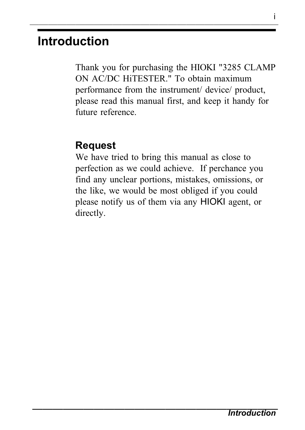# **Introduction**

Thank you for purchasing the HIOKI "3285 CLAMP ON AC/DC HiTESTER." To obtain maximum performance from the instrument/ device/ product, please read this manual first, and keep it handy for future reference.

#### **Request**

We have tried to bring this manual as close to perfection as we could achieve. If perchance you find any unclear portions, mistakes, omissions, or the like, we would be most obliged if you could please notify us of them via any HIOKI agent, or directly.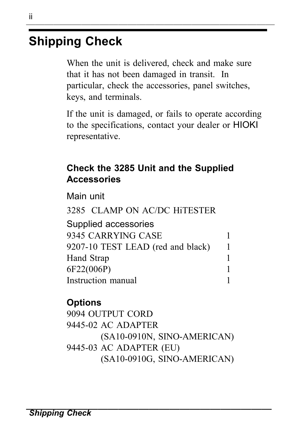# **Shipping Check**

When the unit is delivered, check and make sure that it has not been damaged in transit. In particular, check the accessories, panel switches, keys, and terminals.

If the unit is damaged, or fails to operate according to the specifications, contact your dealer or HIOKI representative.

#### **Check the 3285 Unit and the Supplied Accessories**

Main unit

3285 CLAMP ON AC/DC HiTESTER Supplied accessories 9345 CARRYING CASE 1 9207-10 TEST LEAD (red and black) 1 Hand Strap 1 6F22(006P) 1 Instruction manual 1

#### **Options**

9094 OUTPUT CORD 9445-02 AC ADAPTER (SA10-0910N, SINO-AMERICAN) 9445-03 AC ADAPTER (EU) (SA10-0910G, SINO-AMERICAN)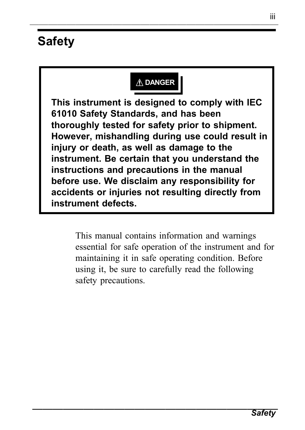# **Safety**

#### **DANGER**

**This instrument is designed to comply with IEC 61010 Safety Standards, and has been thoroughly tested for safety prior to shipment. However, mishandling during use could result in injury or death, as well as damage to the instrument. Be certain that you understand the instructions and precautions in the manual before use. We disclaim any responsibility for accidents or injuries not resulting directly from instrument defects.**

> This manual contains information and warnings essential for safe operation of the instrument and for maintaining it in safe operating condition. Before using it, be sure to carefully read the following safety precautions.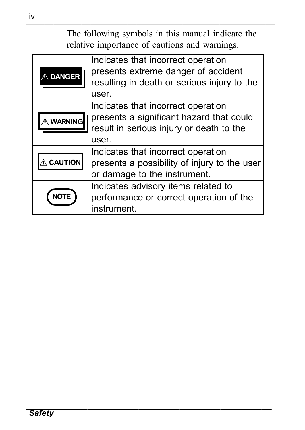――――――――――――――――――――――――――― The following symbols in this manual indicate the relative importance of cautions and warnings.

| $\overline{\triangle}$ DANGER | Indicates that incorrect operation<br>presents extreme danger of accident<br>resulting in death or serious injury to the                     |  |
|-------------------------------|----------------------------------------------------------------------------------------------------------------------------------------------|--|
| <b>A</b> WARNING              | user.<br>Indicates that incorrect operation<br>presents a significant hazard that could<br>result in serious injury or death to the<br>user. |  |
| <b>CAUTION</b>                | Indicates that incorrect operation<br>presents a possibility of injury to the user<br>or damage to the instrument.                           |  |
|                               | Indicates advisory items related to<br>performance or correct operation of the<br>instrument.                                                |  |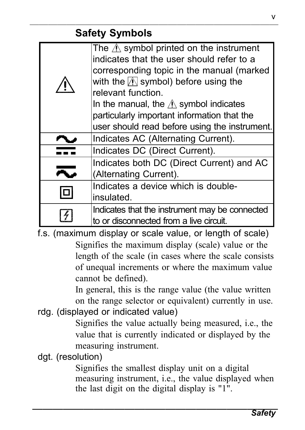#### ――――――――――――――――――――――――――― **Safety Symbols**

| The $\triangle$ symbol printed on the instrument      |
|-------------------------------------------------------|
| indicates that the user should refer to a             |
| corresponding topic in the manual (marked             |
| with the $\sqrt{\mathbb{N}}$ symbol) before using the |
| relevant function.                                    |
| In the manual, the $\Lambda$ symbol indicates         |
| particularly important information that the           |
| user should read before using the instrument.         |
| Indicates AC (Alternating Current).                   |
| Indicates DC (Direct Current).                        |
| Indicates both DC (Direct Current) and AC             |
|                                                       |
| (Alternating Current).                                |
| Indicates a device which is double-                   |
| insulated.                                            |
| Indicates that the instrument may be connected        |

f.s. (maximum display or scale value, or length of scale) Signifies the maximum display (scale) value or the length of the scale (in cases where the scale consists of unequal increments or where the maximum value cannot be defined).

In general, this is the range value (the value written on the range selector or equivalent) currently in use.

rdg. (displayed or indicated value)

Signifies the value actually being measured, i.e., the value that is currently indicated or displayed by the measuring instrument.

dgt. (resolution)

Signifies the smallest display unit on a digital measuring instrument, i.e., the value displayed when the last digit on the digital display is  $"1"$ .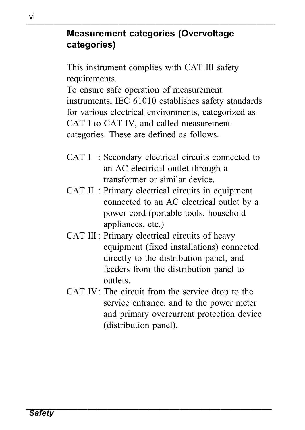#### ――――――――――――――――――――――――――― **Measurement categories (Overvoltage categories)**

This instrument complies with CAT III safety requirements.

To ensure safe operation of measurement instruments, IEC 61010 establishes safety standards for various electrical environments, categorized as CAT I to CAT IV, and called measurement categories. These are defined as follows.

- CAT I : Secondary electrical circuits connected to an AC electrical outlet through a transformer or similar device.
- CAT II : Primary electrical circuits in equipment connected to an AC electrical outlet by a power cord (portable tools, household appliances, etc.)
- CAT III : Primary electrical circuits of heavy equipment (fixed installations) connected directly to the distribution panel, and feeders from the distribution panel to outlets.
- CAT IV: The circuit from the service drop to the service entrance, and to the power meter and primary overcurrent protection device (distribution panel).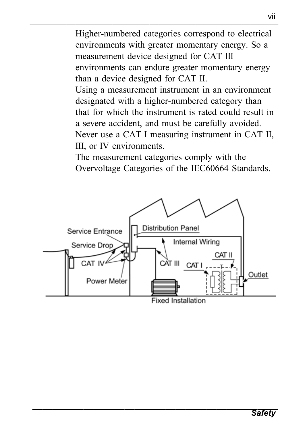――――――――――――――――――――――――――― Higher-numbered categories correspond to electrical environments with greater momentary energy. So a measurement device designed for CAT III environments can endure greater momentary energy than a device designed for CAT II. Using a measurement instrument in an environment

designated with a higher-numbered category than that for which the instrument is rated could result in a severe accident, and must be carefully avoided. Never use a CAT I measuring instrument in CAT II, III, or IV environments.

The measurement categories comply with the Overvoltage Categories of the IEC60664 Standards.

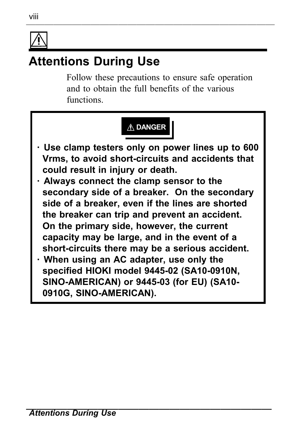

# **Attentions During Use**

Follow these precautions to ensure safe operation and to obtain the full benefits of the various functions.

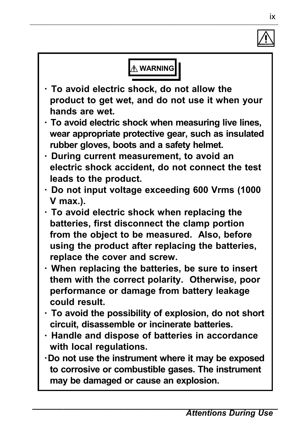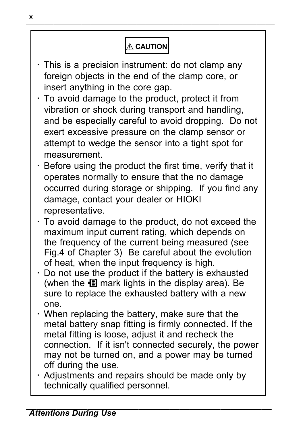# **CAUTION**

- ・ This is a precision instrument: do not clamp any foreign objects in the end of the clamp core, or insert anything in the core gap.
- ・ To avoid damage to the product, protect it from vibration or shock during transport and handling, and be especially careful to avoid dropping. Do not exert excessive pressure on the clamp sensor or attempt to wedge the sensor into a tight spot for measurement.
- ・ Before using the product the first time, verify that it operates normally to ensure that the no damage occurred during storage or shipping. If you find any damage, contact your dealer or HIOKI representative.
- ・ To avoid damage to the product, do not exceed the maximum input current rating, which depends on the frequency of the current being measured (see Fig.4 of Chapter 3) Be careful about the evolution of heat, when the input frequency is high.
- ・ Do not use the product if the battery is exhausted (when the  $\blacksquare$  mark lights in the display area). Be sure to replace the exhausted battery with a new one.
- ・ When replacing the battery, make sure that the metal battery snap fitting is firmly connected. If the metal fitting is loose, adjust it and recheck the connection. If it isn't connected securely, the power may not be turned on, and a power may be turned off during the use.
- ・ Adjustments and repairs should be made only by technically qualified personnel.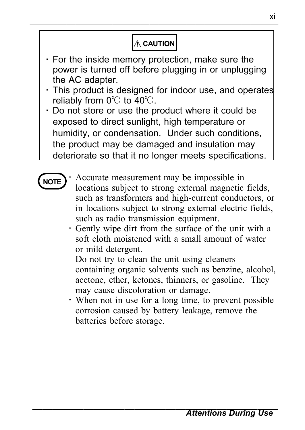#### **A** CAUTION

- ・ For the inside memory protection, make sure the power is turned off before plugging in or unplugging the AC adapter.
- ・ This product is designed for indoor use, and operates reliably from  $0^\circ$  to  $40^\circ$ .
- ・ Do not store or use the product where it could be exposed to direct sunlight, high temperature or humidity, or condensation. Under such conditions, the product may be damaged and insulation may deteriorate so that it no longer meets specifications.

- Accurate measurement may be impossible in locations subject to strong external magnetic fields, such as transformers and high-current conductors, or in locations subject to strong external electric fields, such as radio transmission equipment.
- ・ Gently wipe dirt from the surface of the unit with a soft cloth moistened with a small amount of water or mild detergent.

Do not try to clean the unit using cleaners containing organic solvents such as benzine, alcohol, acetone, ether, ketones, thinners, or gasoline. They may cause discoloration or damage.

・ When not in use for a long time, to prevent possible corrosion caused by battery leakage, remove the batteries before storage.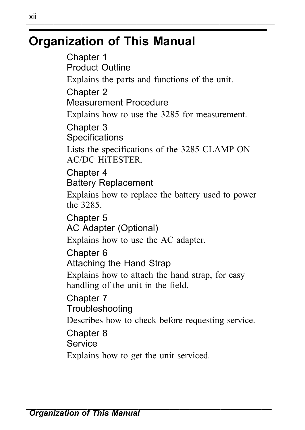# **Organization of This Manual**

Chapter 1 Product Outline Explains the parts and functions of the unit. Chapter 2 Measurement Procedure Explains how to use the 3285 for measurement. Chapter 3 **Specifications** Lists the specifications of the 3285 CLAMP ON AC/DC HiTESTER. Chapter 4 Battery Replacement Explains how to replace the battery used to power the 3285. Chapter 5 AC Adapter (Optional) Explains how to use the AC adapter. Chapter 6 Attaching the Hand Strap Explains how to attach the hand strap, for easy handling of the unit in the field. Chapter 7 **Troubleshooting** Describes how to check before requesting service. Chapter 8 **Service** Explains how to get the unit serviced.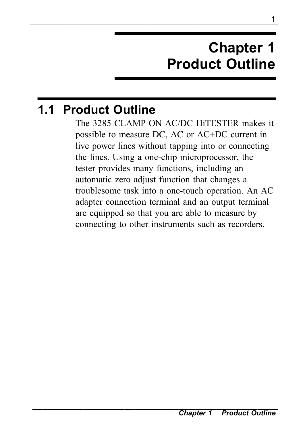# **Chapter 1 Product Outline**

# **1.1 Product Outline**

The 3285 CLAMP ON AC/DC HiTESTER makes it possible to measure DC, AC or AC+DC current in live power lines without tapping into or connecting the lines. Using a one-chip microprocessor, the tester provides many functions, including an automatic zero adjust function that changes a troublesome task into a one-touch operation. An AC adapter connection terminal and an output terminal are equipped so that you are able to measure by connecting to other instruments such as recorders.

<sup>1</sup> ―――――――――――――――――――――――――――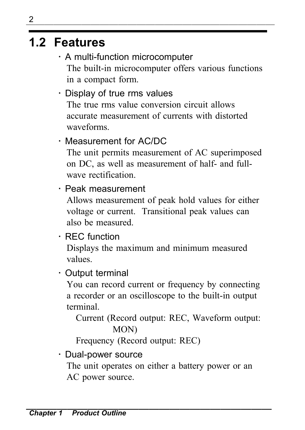# **1.2 Features**

- ・ A multi-function microcomputer The built-in microcomputer offers various functions in a compact form.
- ・ Display of true rms values The true rms value conversion circuit allows accurate measurement of currents with distorted waveforms.

#### ・ Measurement for AC/DC

The unit permits measurement of AC superimposed on DC, as well as measurement of half- and fullwave rectification.

#### ・ Peak measurement

Allows measurement of peak hold values for either voltage or current. Transitional peak values can also be measured.

#### ・ REC function

Displays the maximum and minimum measured values.

#### ・ Output terminal

You can record current or frequency by connecting a recorder or an oscilloscope to the built-in output terminal.

Current (Record output: REC, Waveform output: MON)

Frequency (Record output: REC)

#### ・ Dual-power source

The unit operates on either a battery power or an AC power source.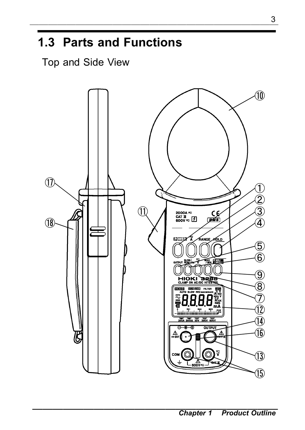# **1.3 Parts and Functions**

Top and Side View

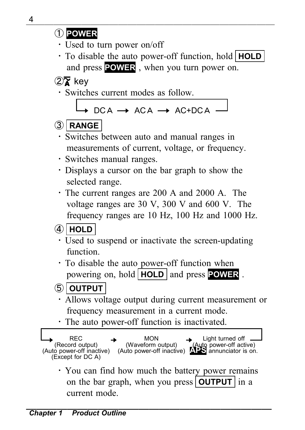・ Used to turn power on/off

・ To disable the auto power-off function, hold **HOLD** and press **POWER** , when you turn power on.

 $(2)$  key

・ Switches current modes as follow.

 $DCA \rightarrow ACA \rightarrow AC+DCA$ 

#### ③ **RANGE**

- ・ Switches between auto and manual ranges in measurements of current, voltage, or frequency.
- ・ Switches manual ranges.
- ・ Displays a cursor on the bar graph to show the selected range.
- ・ The current ranges are 200 A and 2000 A. The voltage ranges are 30 V, 300 V and 600 V. The frequency ranges are 10 Hz, 100 Hz and 1000 Hz.

#### ④ **HOLD**

- ・ Used to suspend or inactivate the screen-updating function.
- ・ To disable the auto power-off function when powering on, hold **HOLD** and press **POWER** .

#### ⑤ **OUTPUT**

- ・ Allows voltage output during current measurement or frequency measurement in a current mode.
- ・ The auto power-off function is inactivated.



・ You can find how much the battery power remains on the bar graph, when you press **OUTPUT** in a current mode.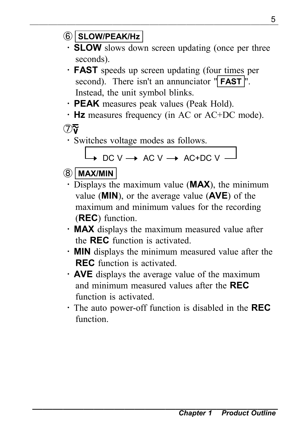- ⑥ **SLOW/PEAK/Hz**
	- ・ **SLOW** slows down screen updating (once per three seconds).
	- ・ **FAST** speeds up screen updating (four times per second). There isn't an annunciator " **FAST** ". Instead, the unit symbol blinks.
	- ・ **PEAK** measures peak values (Peak Hold).
	- ・ **Hz** measures frequency (in AC or AC+DC mode).

 $\mathcal{D}(\overline{\mathbf{r}})$ 

・ Switches voltage modes as follows.

 $\rightarrow$  DC V  $\rightarrow$  AC V  $\rightarrow$  AC+DC V  $\rightarrow$ 

#### ⑧ **MAX/MIN**

- ・ Displays the maximum value (**MAX**), the minimum value (**MIN**), or the average value (**AVE**) of the maximum and minimum values for the recording (**REC**) function.
- ・ **MAX** displays the maximum measured value after the **REC** function is activated.
- ・ **MIN** displays the minimum measured value after the **REC** function is activated.
- ・ **AVE** displays the average value of the maximum and minimum measured values after the **REC** function is activated.
- ・ The auto power-off function is disabled in the **REC** function.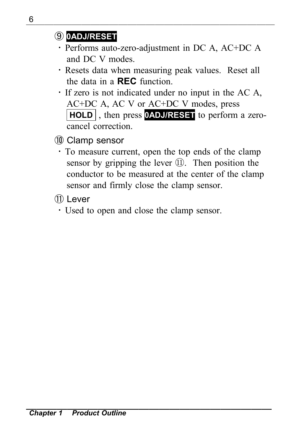#### ⑨ **0ADJ/RESET**

- ・ Performs auto-zero-adjustment in DC A, AC+DC A and DC V modes.
- ・ Resets data when measuring peak values. Reset all the data in a **REC** function.
- ・ If zero is not indicated under no input in the AC A, AC+DC A, AC V or AC+DC V modes, press **HOLD** , then press **0ADJ/RESET** to perform a zerocancel correction.
- ⑩ Clamp sensor
	- ・ To measure current, open the top ends of the clamp sensor by gripping the lever ⑪. Then position the conductor to be measured at the center of the clamp sensor and firmly close the clamp sensor.
- ⑪ Lever
	- ・ Used to open and close the clamp sensor.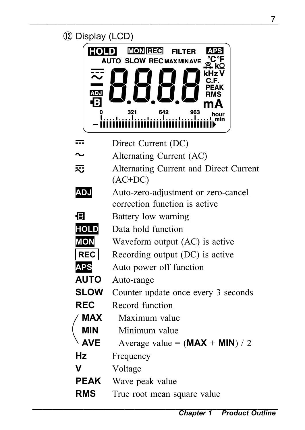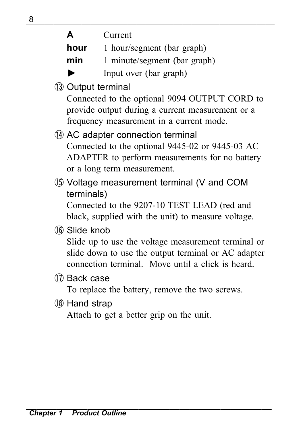| ◡ |      |                              |
|---|------|------------------------------|
|   | A    | Current                      |
|   | hour | 1 hour/segment (bar graph)   |
|   | min  | 1 minute/segment (bar graph) |
|   |      | Input over (bar graph)       |

⑬ Output terminal

Connected to the optional 9094 OUTPUT CORD to provide output during a current measurement or a frequency measurement in a current mode.

⑭ AC adapter connection terminal Connected to the optional 9445-02 or 9445-03 AC ADAPTER to perform measurements for no battery or a long term measurement.

⑮ Voltage measurement terminal (V and COM terminals)

Connected to the 9207-10 TEST LEAD (red and black, supplied with the unit) to measure voltage.

⑯ Slide knob

Slide up to use the voltage measurement terminal or slide down to use the output terminal or AC adapter connection terminal. Move until a click is heard.

⑰ Back case

To replace the battery, remove the two screws.

⑱ Hand strap

Attach to get a better grip on the unit.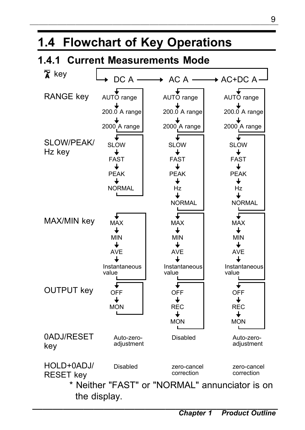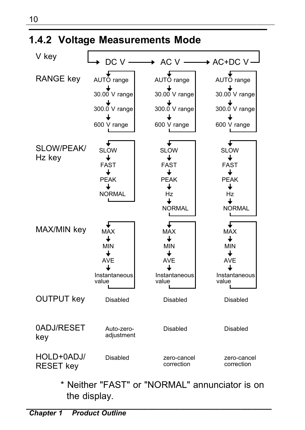

\* Neither "FAST" or "NORMAL" annunciator is on the display.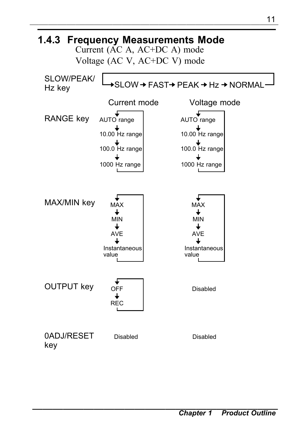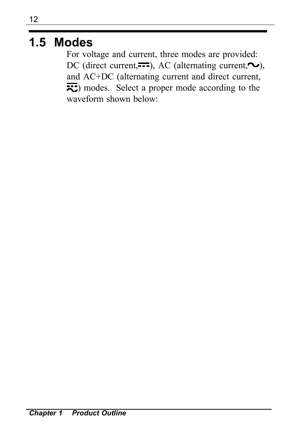# **1.5 Modes**

For voltage and current, three modes are provided: DC (direct current,  $\overline{\phantom{m}}$ ), AC (alternating current,  $\sim$ ), and AC+DC (alternating current and direct current,  $\overline{z}$ ) modes. Select a proper mode according to the waveform shown below: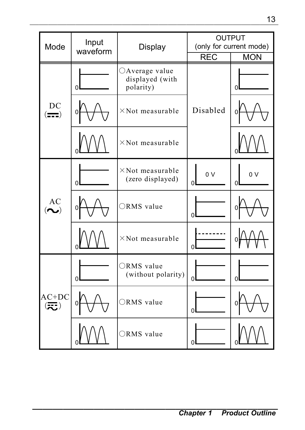|                                               |                                    |                         |                                                |                                                                      | 13              |
|-----------------------------------------------|------------------------------------|-------------------------|------------------------------------------------|----------------------------------------------------------------------|-----------------|
|                                               | Mode                               | Input<br>waveform       | Display                                        | <b>OUTPUT</b><br>(only for current mode)<br><b>MON</b><br><b>REC</b> |                 |
|                                               |                                    | $\Omega$                | ○Average value<br>displayed (with<br>polarity) |                                                                      | 0               |
|                                               | DC<br>$\left( \frac{1}{2} \right)$ |                         | $\times$ Not measurable                        | Disabled                                                             |                 |
|                                               |                                    |                         | $\times$ Not measurable                        |                                                                      |                 |
|                                               | AC<br>$(\boldsymbol{\sim})$        | O                       | $\times$ Not measurable<br>(zero displayed)    | 0 V<br>U                                                             | 0 V<br>$\Omega$ |
|                                               |                                    | 0                       | ORMS value                                     | $\Omega$                                                             |                 |
|                                               |                                    | $\times$ Not measurable | $\Omega$                                       |                                                                      |                 |
|                                               |                                    | $\Omega$                | ORMS value<br>(without polarity)               | $\Omega$                                                             | 0               |
| $AC+DC$<br>$\left( \overline{\infty} \right)$ | 0                                  | ORMS value              | ΩI                                             |                                                                      |                 |
|                                               |                                    | ORMS value              | $\Omega$                                       |                                                                      |                 |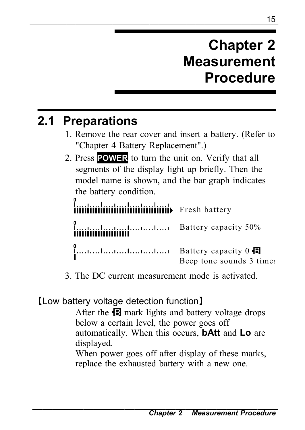# **Chapter 2 Measurement Procedure**

# **2.1 Preparations**

- 1. Remove the rear cover and insert a battery. (Refer to "Chapter 4 Battery Replacement".)
- 2. Press **POWER** to turn the unit on. Verify that all segments of the display light up briefly. Then the model name is shown, and the bar graph indicates the battery condition.

linininininininininininininin Fresh battery Battery capacity 50% Battery capacity 0 Beep tone sounds 3 times

3. The DC current measurement mode is activated.

#### 【Low battery voltage detection function】

After the  $\blacksquare$  mark lights and battery voltage drops below a certain level, the power goes off automatically. When this occurs, **bAtt** and **Lo** are displayed.

When power goes off after display of these marks, replace the exhausted battery with a new one.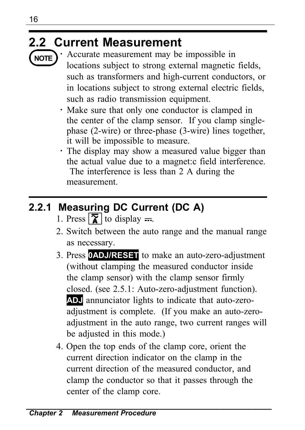# **2.2 Current Measurement**



Accurate measurement may be impossible in locations subject to strong external magnetic fields, such as transformers and high-current conductors, or in locations subject to strong external electric fields, such as radio transmission equipment.

- ・ Make sure that only one conductor is clamped in the center of the clamp sensor. If you clamp singlephase (2-wire) or three-phase (3-wire) lines together, it will be impossible to measure.
- ・ The display may show a measured value bigger than the actual value due to a magnet:c field interference. The interference is less than 2 A during the measurement.

# **2.2.1 Measuring DC Current (DC A)**

- 1. Press  $\sqrt{\overline{\mathbf{X}}}$  to display  $=$ .
- 2. Switch between the auto range and the manual range as necessary.
- 3. Press **0ADJ/RESET** to make an auto-zero-adjustment (without clamping the measured conductor inside the clamp sensor) with the clamp sensor firmly closed. (see 2.5.1: Auto-zero-adjustment function). **ADJ** annunciator lights to indicate that auto-zeroadjustment is complete. (If you make an auto-zeroadjustment in the auto range, two current ranges will be adjusted in this mode.)
- 4. Open the top ends of the clamp core, orient the current direction indicator on the clamp in the current direction of the measured conductor, and clamp the conductor so that it passes through the center of the clamp core.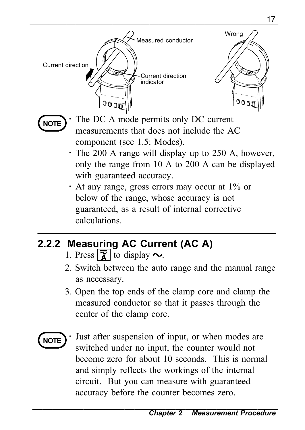



The DC A mode permits only DC current measurements that does not include the AC component (see 1.5: Modes).

- ・ The 200 A range will display up to 250 A, however, only the range from 10 A to 200 A can be displayed with guaranteed accuracy.
- ・ At any range, gross errors may occur at 1% or below of the range, whose accuracy is not guaranteed, as a result of internal corrective calculations.

### **2.2.2 Measuring AC Current (AC A)**

- 1. Press  $\sqrt{\overline{\mathbf{x}}}$  to display  $\sim$ .
- 2. Switch between the auto range and the manual range as necessary.
- 3. Open the top ends of the clamp core and clamp the measured conductor so that it passes through the center of the clamp core.

**NOTE**

Just after suspension of input, or when modes are switched under no input, the counter would not become zero for about 10 seconds. This is normal and simply reflects the workings of the internal circuit. But you can measure with guaranteed accuracy before the counter becomes zero.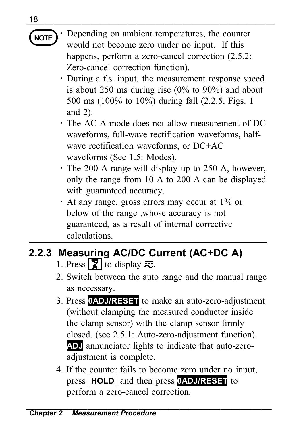$\frac{10}{\pm}$ **NOTE**

Depending on ambient temperatures, the counter would not become zero under no input. If this happens, perform a zero-cancel correction  $(2.5.2)$ : Zero-cancel correction function).

- ・ During a f.s. input, the measurement response speed is about 250 ms during rise  $(0\%$  to  $90\%)$  and about 500 ms (100% to 10%) during fall (2.2.5, Figs. 1 and 2).
- ・ The AC A mode does not allow measurement of DC waveforms, full-wave rectification waveforms, halfwave rectification waveforms, or DC+AC waveforms (See 1.5: Modes).
- ・ The 200 A range will display up to 250 A, however, only the range from 10 A to 200 A can be displayed with guaranteed accuracy.
- ・ At any range, gross errors may occur at 1% or below of the range ,whose accuracy is not guaranteed, as a result of internal corrective calculations.

# **2.2.3 Measuring AC/DC Current (AC+DC A)**

- 1. Press  $\boxed{\mathbf{X}}$  to display  $\overline{\mathbf{x}}$ .
- 2. Switch between the auto range and the manual range as necessary.
- 3. Press **0ADJ/RESET** to make an auto-zero-adjustment (without clamping the measured conductor inside the clamp sensor) with the clamp sensor firmly closed. (see 2.5.1: Auto-zero-adjustment function). **ADJ** annunciator lights to indicate that auto-zeroadiustment is complete.
- 4. If the counter fails to become zero under no input, press **HOLD** and then press **0ADJ/RESET** to perform a zero-cancel correction.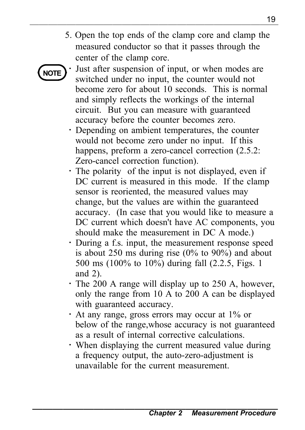5. Open the top ends of the clamp core and clamp the measured conductor so that it passes through the center of the clamp core.

# **NOTE**

Just after suspension of input, or when modes are switched under no input, the counter would not become zero for about 10 seconds. This is normal and simply reflects the workings of the internal circuit. But you can measure with guaranteed accuracy before the counter becomes zero.

- ・ Depending on ambient temperatures, the counter would not become zero under no input. If this happens, preform a zero-cancel correction  $(2.5.2)$ : Zero-cancel correction function).
- ・ The polarity of the input is not displayed, even if DC current is measured in this mode. If the clamp sensor is reoriented, the measured values may change, but the values are within the guaranteed accuracy. (In case that you would like to measure a DC current which doesn't have AC components, you should make the measurement in DC A mode.)
- ・ During a f.s. input, the measurement response speed is about 250 ms during rise (0% to 90%) and about 500 ms (100% to 10%) during fall (2.2.5, Figs. 1 and 2).
- ・ The 200 A range will display up to 250 A, however, only the range from 10 A to 200 A can be displayed with guaranteed accuracy.
- ・ At any range, gross errors may occur at 1% or below of the range,whose accuracy is not guaranteed as a result of internal corrective calculations.
- ・ When displaying the current measured value during a frequency output, the auto-zero-adjustment is unavailable for the current measurement.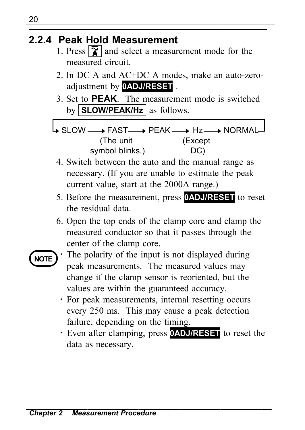#### **2.2.4 Peak Hold Measurement**

- 1. Press  $\boxed{\mathbf{\overline{\chi}}}$  and select a measurement mode for the measured circuit.
- 2. In DC A and AC+DC A modes, make an auto-zeroadjustment by **0ADJ/RESET** .
- 3. Set to **PEAK**. The measurement mode is switched by **SLOW/PEAK/Hz** as follows.

SLOW PEAK FAST (The unit symbol blinks.) Hz (Except DC) NORMAL

- 4. Switch between the auto and the manual range as necessary. (If you are unable to estimate the peak current value, start at the 2000A range.)
- 5. Before the measurement, press **0ADJ/RESET** to reset the residual data.
- 6. Open the top ends of the clamp core and clamp the measured conductor so that it passes through the center of the clamp core.
- **NOTE**

The polarity of the input is not displayed during peak measurements. The measured values may change if the clamp sensor is reoriented, but the values are within the guaranteed accuracy.

- ・ For peak measurements, internal resetting occurs every 250 ms. This may cause a peak detection failure, depending on the timing.
- ・ Even after clamping, press **0ADJ/RESET** to reset the data as necessary.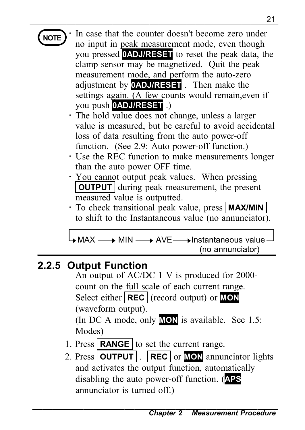## **NOTE**

In case that the counter doesn't become zero under no input in peak measurement mode, even though you pressed **0ADJ/RESET** to reset the peak data, the clamp sensor may be magnetized. Quit the peak measurement mode, and perform the auto-zero adjustment by **0ADJ/RESET** . Then make the settings again. (A few counts would remain,even if you push **0ADJ/RESET** .)

- ・ The hold value does not change, unless a larger value is measured, but be careful to avoid accidental loss of data resulting from the auto power-off function. (See 2.9: Auto power-off function.)
- ・ Use the REC function to make measurements longer than the auto power OFF time.
- ・ You cannot output peak values. When pressing **OUTPUT** during peak measurement, the present measured value is outputted.
- ・ To check transitional peak value, press **MAX/MIN** to shift to the Instantaneous value (no annunciator).

 $\Box$ MAX  $\longrightarrow$  MIN  $\longrightarrow$  AVE  $\longrightarrow$  Instantaneous value (no annunciator)

#### **2.2.5 Output Function**

An output of AC/DC 1 V is produced for 2000 count on the full scale of each current range. Select either **REC** (record output) or **MON** (waveform output).

(In DC A mode, only **MON** is available. See 1.5: Modes)

- 1. Press **RANGE** to set the current range.
- 2. Press **OUTPUT** . **REC** or **MON** annunciator lights and activates the output function, automatically disabling the auto power-off function. (**APS** annunciator is turned off.)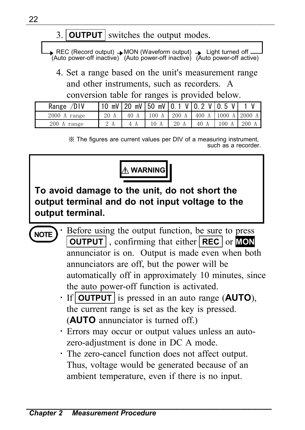#### ――――――――――――――――――――――――――― 3. **OUTPUT** switches the output modes.

REC (Record output) → MON (Waveform output) → Light turned off —<br>(Auto power-off inactive) (Auto power-off inactive) (Auto power-off active)

4. Set a range based on the unit's measurement range and other instruments, such as recorders. A conversion table for ranges is provided below.

| Range /DIV   |    |      |                 | $10 \text{ mV}$ 20 mV 50 mV 0.1 V 0.2 V 0.5 V |      |      |      |
|--------------|----|------|-----------------|-----------------------------------------------|------|------|------|
| 2000 A range | 20 | 40 A | $100 \text{ A}$ | 200 A   400 A   1000 A   2000 A               |      |      |      |
| 200 A range  |    |      |                 | 20                                            | 40 A | 100A | 200A |

※ The figures are current values per DIV of a measuring instrument, such as a recorder



**To avoid damage to the unit, do not short the output terminal and do not input voltage to the output terminal.**

**NOTE**

- Before using the output function, be sure to press **OUTPUT** , confirming that either **REC** or **MON** annunciator is on. Output is made even when both annunciators are off, but the power will be automatically off in approximately 10 minutes, since the auto power-off function is activated.
- ・ If **OUTPUT** is pressed in an auto range (**AUTO**), the current range is set as the key is pressed. (**AUTO** annunciator is turned off.)
- ・ Errors may occur or output values unless an autozero-adjustment is done in DC A mode.
- ・ The zero-cancel function does not affect output. Thus, voltage would be generated because of an ambient temperature, even if there is no input.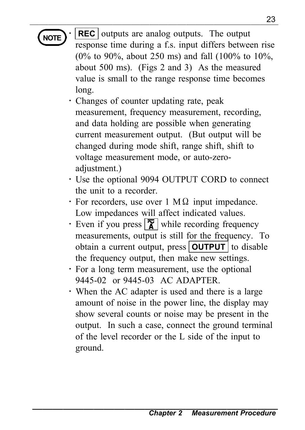**NOTE REC** outputs are analog outputs. The output response time during a f.s. input differs between rise (0% to 90%, about 250 ms) and fall (100% to 10%, about 500 ms). (Figs 2 and 3) As the measured value is small to the range response time becomes long.

- ・ Changes of counter updating rate, peak measurement, frequency measurement, recording, and data holding are possible when generating current measurement output. (But output will be changed during mode shift, range shift, shift to voltage measurement mode, or auto-zeroadjustment.)
- ・ Use the optional 9094 OUTPUT CORD to connect the unit to a recorder.
- $\cdot$  For recorders, use over 1 M $\Omega$  input impedance. Low impedances will affect indicated values.
- $\cdot$  Even if you press  $\sqrt{\frac{1}{\pi}}$  while recording frequency measurements, output is still for the frequency. To obtain a current output, press **OUTPUT** to disable the frequency output, then make new settings.
- ・ For a long term measurement, use the optional 9445-02 or 9445-03 AC ADAPTER.
- ・ When the AC adapter is used and there is a large amount of noise in the power line, the display may show several counts or noise may be present in the output. In such a case, connect the ground terminal of the level recorder or the L side of the input to ground.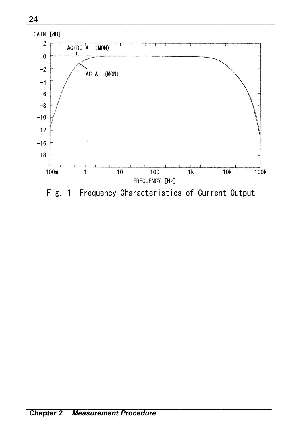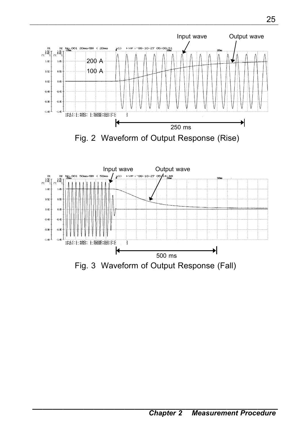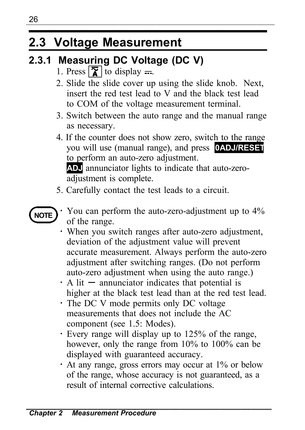## **2.3 Voltage Measurement**

## **2.3.1 Measuring DC Voltage (DC V)**

- 1. Press  $\sqrt{\overline{\mathbf{x}}}$  to display  $=$ .
- 2. Slide the slide cover up using the slide knob. Next, insert the red test lead to V and the black test lead to COM of the voltage measurement terminal.
- 3. Switch between the auto range and the manual range as necessary.
- 4. If the counter does not show zero, switch to the range you will use (manual range), and press **0ADJ/RESET** to perform an auto-zero adjustment.

**ADJ** annunciator lights to indicate that auto-zeroadjustment is complete.

5. Carefully contact the test leads to a circuit.



- ・ You can perform the auto-zero-adjustment up to 4% of the range.
- ・ When you switch ranges after auto-zero adjustment, deviation of the adjustment value will prevent accurate measurement. Always perform the auto-zero adjustment after switching ranges. (Do not perform auto-zero adjustment when using the auto range.)
- $\cdot$  A lit  $-$  annunciator indicates that potential is higher at the black test lead than at the red test lead.
- ・ The DC V mode permits only DC voltage measurements that does not include the AC component (see 1.5: Modes).
- ・ Every range will display up to 125% of the range, however, only the range from 10% to 100% can be displayed with guaranteed accuracy.
- ・ At any range, gross errors may occur at 1% or below of the range, whose accuracy is not guaranteed, as a result of internal corrective calculations.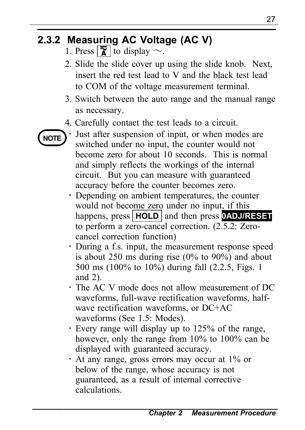## **2.3.2 Measuring AC Voltage (AC V)**

- 1. Press  $\sqrt{\overline{\mathbf{\chi}}}$  to display  $\sim$ .
- 2. Slide the slide cover up using the slide knob. Next, insert the red test lead to V and the black test lead to COM of the voltage measurement terminal.
- 3. Switch between the auto range and the manual range as necessary.
- 4. Carefully contact the test leads to a circuit.



Just after suspension of input, or when modes are switched under no input, the counter would not become zero for about 10 seconds. This is normal and simply reflects the workings of the internal circuit. But you can measure with guaranteed accuracy before the counter becomes zero.

- ・ Depending on ambient temperatures, the counter would not become zero under no input, if this happens, press **HOLD** and then press **0ADJ/RESET** to perform a zero-cancel correction. (2.5.2: Zerocancel correction function)
- ・ During a f.s. input, the measurement response speed is about 250 ms during rise (0% to 90%) and about 500 ms (100% to 10%) during fall (2.2.5, Figs. 1 and 2).
- ・ The AC V mode does not allow measurement of DC waveforms, full-wave rectification waveforms, halfwave rectification waveforms, or DC+AC waveforms (See 1.5: Modes).
- ・ Every range will display up to 125% of the range, however, only the range from 10% to 100% can be displayed with guaranteed accuracy.
- ・ At any range, gross errors may occur at 1% or below of the range, whose accuracy is not guaranteed, as a result of internal corrective calculations.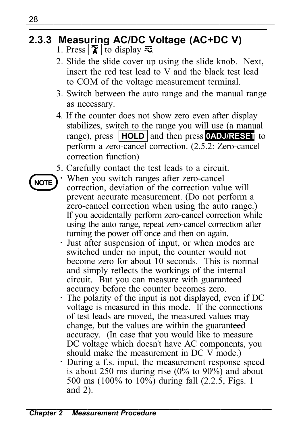## **2.3.3 Measuring AC/DC Voltage (AC+DC V)**

- 1. Press  $\sqrt{\chi}$  to display  $\bar{\mathbf{z}}$ .
- 2. Slide the slide cover up using the slide knob. Next, insert the red test lead to V and the black test lead to COM of the voltage measurement terminal.
- 3. Switch between the auto range and the manual range as necessary.
- 4. If the counter does not show zero even after display stabilizes, switch to the range you will use (a manual range), press **HOLD** and then press **0ADJ/RESET** to perform a zero-cancel correction. (2.5.2: Zero-cancel correction function)
- 5. Carefully contact the test leads to a circuit.
- **NOTE**

When you switch ranges after zero-cancel correction, deviation of the correction value will prevent accurate measurement. (Do not perform a zero-cancel correction when using the auto range.) If you accidentally perform zero-cancel correction while using the auto range, repeat zero-cancel correction after turning the power off once and then on again.

- ・ Just after suspension of input, or when modes are switched under no input, the counter would not become zero for about 10 seconds. This is normal and simply reflects the workings of the internal circuit. But you can measure with guaranteed accuracy before the counter becomes zero.
- ・ The polarity of the input is not displayed, even if DC voltage is measured in this mode. If the connections of test leads are moved, the measured values may change, but the values are within the guaranteed accuracy. (In case that you would like to measure DC voltage which doesn't have AC components, you should make the measurement in DC V mode.)
- ・ During a f.s. input, the measurement response speed is about 250 ms during rise  $(0\%$  to  $90\%$  and about 500 ms (100% to 10%) during fall (2.2.5, Figs. 1 and 2).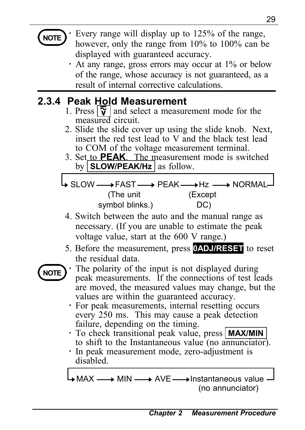## **NOTE**

Every range will display up to 125% of the range, however, only the range from 10% to 100% can be displayed with guaranteed accuracy.

・ At any range, gross errors may occur at 1% or below of the range, whose accuracy is not guaranteed, as a result of internal corrective calculations.

## **2.3.4 Peak Hold Measurement**

- 1. Press  $\frac{1}{\mathbf{v}}$  and select a measurement mode for the measured circuit.
- 2. Slide the slide cover up using the slide knob. Next, insert the red test lead to V and the black test lead to COM of the voltage measurement terminal.
- 3. Set to **PEAK**. The measurement mode is switched by **SLOW/PEAK/Hz** as follow.

SLOW — FAST — > PEAK — → Hz — → NORMAL (The unit symbol blinks.) (Except DC)

- 4. Switch between the auto and the manual range as necessary. (If you are unable to estimate the peak voltage value, start at the 600 V range.)
- 5. Before the measurement, press **0ADJ/RESET** to reset the residual data.



The polarity of the input is not displayed during peak measurements. If the connections of test leads are moved, the measured values may change, but the values are within the guaranteed accuracy.

- ・ For peak measurements, internal resetting occurs every 250 ms. This may cause a peak detection failure, depending on the timing.
- ・ To check transitional peak value, press **MAX/MIN** to shift to the Instantaneous value (no annunciator).
- ・ In peak measurement mode, zero-adjustment is disabled.

 $\rightarrow$  MAX  $\rightarrow$  MIN  $\rightarrow$  AVE  $\rightarrow$  Instantaneous value (no annunciator)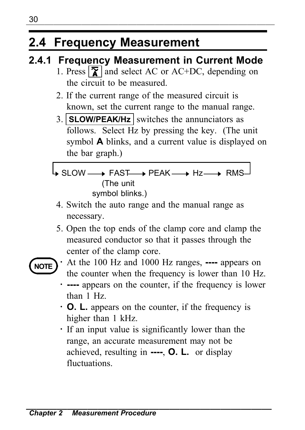## **2.4 Frequency Measurement**

## **2.4.1 Frequency Measurement in Current Mode**

- 1. Press  $\sqrt{\mathbf{x}}$  and select AC or AC+DC, depending on the circuit to be measured.
- 2. If the current range of the measured circuit is known, set the current range to the manual range.
- 3. **SLOW/PEAK/Hz** switches the annunciators as follows. Select Hz by pressing the key. (The unit symbol **A** blinks, and a current value is displayed on the bar graph.)
- SLOW PEAK FAST Hz RMS (The unit
	- symbol blinks.)
	- 4. Switch the auto range and the manual range as necessary.
	- 5. Open the top ends of the clamp core and clamp the measured conductor so that it passes through the center of the clamp core.



- ・ At the 100 Hz and 1000 Hz ranges, **----** appears on the counter when the frequency is lower than 10 Hz.
	- ・ **----** appears on the counter, if the frequency is lower than 1 Hz.
	- ・ **O. L.** appears on the counter, if the frequency is higher than 1 kHz.
	- ・ If an input value is significantly lower than the range, an accurate measurement may not be achieved, resulting in **----**, **O. L.** or display fluctuations.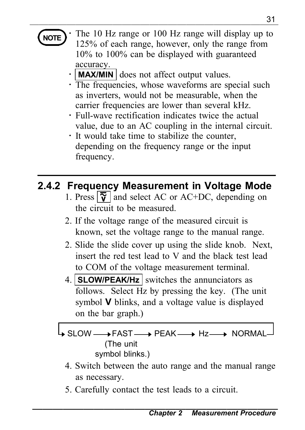## **NOTE**

——<sub>——</sub>——————————————————————————————31 The 10 Hz range or 100 Hz range will display up to 125% of each range, however, only the range from 10% to 100% can be displayed with guaranteed accuracy.

- **MAX/MIN** does not affect output values.
- ・ The frequencies, whose waveforms are special such as inverters, would not be measurable, when the carrier frequencies are lower than several kHz.
- ・ Full-wave rectification indicates twice the actual value, due to an AC coupling in the internal circuit.
- ・ It would take time to stabilize the counter, depending on the frequency range or the input frequency.

## **2.4.2 Frequency Measurement in Voltage Mode**

- 1. Press  $\sqrt{\tilde{v}}$  and select AC or AC+DC, depending on the circuit to be measured.
- 2. If the voltage range of the measured circuit is known, set the voltage range to the manual range.
- 2. Slide the slide cover up using the slide knob. Next, insert the red test lead to V and the black test lead to COM of the voltage measurement terminal.
- 4. **SLOW/PEAK/Hz** switches the annunciators as follows. Select Hz by pressing the key. (The unit symbol **V** blinks, and a voltage value is displayed on the bar graph.)

SLOW PEAK FAST Hz NORMAL (The unit symbol blinks.)

- 4. Switch between the auto range and the manual range as necessary.
- 5. Carefully contact the test leads to a circuit.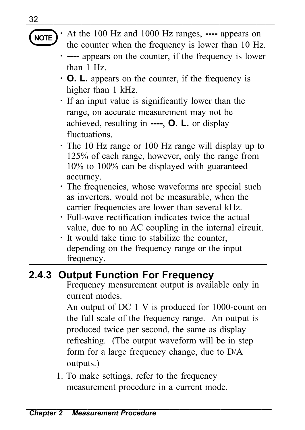**NOTE**

――――――――――――――――――――――――――― ・ At the 100 Hz and 1000 Hz ranges, **----** appears on the counter when the frequency is lower than 10 Hz.

- ・ **----** appears on the counter, if the frequency is lower than 1 Hz.
- ・ **O. L.** appears on the counter, if the frequency is higher than 1 kHz.
- ・ If an input value is significantly lower than the range, on accurate measurement may not be achieved, resulting in **----**, **O. L.** or display fluctuations.
- ・ The 10 Hz range or 100 Hz range will display up to 125% of each range, however, only the range from 10% to 100% can be displayed with guaranteed accuracy.
- ・ The frequencies, whose waveforms are special such as inverters, would not be measurable, when the carrier frequencies are lower than several kHz.
- ・ Full-wave rectification indicates twice the actual value, due to an AC coupling in the internal circuit.
- ・ It would take time to stabilize the counter, depending on the frequency range or the input frequency.

## **2.4.3 Output Function For Frequency**

Frequency measurement output is available only in current modes.

An output of DC 1 V is produced for 1000-count on the full scale of the frequency range. An output is produced twice per second, the same as display refreshing. (The output waveform will be in step form for a large frequency change, due to D/A outputs.)

1. To make settings, refer to the frequency measurement procedure in a current mode.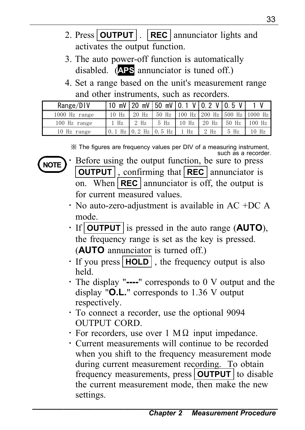- 2. Press **OUTPUT** . **REC** annunciator lights and activates the output function.
- 3. The auto power-off function is automatically disabled. (**APS** annunciator is tuned off.)
- 4. Set a range based on the unit's measurement range and other instruments, such as recorders.

| Range/DIV     |       |                            |      |         | 10 mV 20 mV 50 mV 10.1 V 10.2 V 10.5 V |              |                                            |
|---------------|-------|----------------------------|------|---------|----------------------------------------|--------------|--------------------------------------------|
| 1000 Hz range | 10 Hz | $20$ Hz                    |      |         |                                        |              | 50 Hz   100 Hz   200 Hz   500 Hz   1000 Hz |
| 100 Hz range  | 1 Hz  | $2$ Hz                     | 5 Hz | $10$ Hz | $20$ Hz                                | $150$ Hz $1$ | $100$ Hz                                   |
| 10 Hz range   |       | $0.1$ Hz $0.2$ Hz $0.5$ Hz |      | $1$ Hz  | $2$ Hz                                 | 5 Hz         | 10 Hz                                      |

※ The figures are frequency values per DIV of a measuring instrument, such as a recorder.



- Before using the output function, be sure to press **OUTPUT** , confirming that **REC** annunciator is on. When **REC** annunciator is off, the output is for current measured values.
- $\cdot$  No auto-zero-adjustment is available in AC +DC A mode.
- ・ If **OUTPUT** is pressed in the auto range (**AUTO**), the frequency range is set as the key is pressed. (**AUTO** annunciator is turned off.)
- ・ If you press **HOLD** , the frequency output is also held.
- ・ The display "**----**" corresponds to 0 V output and the display "**O.L.**" corresponds to 1.36 V output respectively.
- ・ To connect a recorder, use the optional 9094 OUTPUT CORD.
- $\cdot$  For recorders, use over 1 M $\Omega$  input impedance.
- ・ Current measurements will continue to be recorded when you shift to the frequency measurement mode during current measurement recording. To obtain frequency measurements, press **OUTPUT** to disable the current measurement mode, then make the new settings.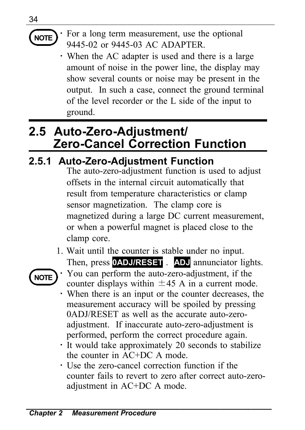## **NOTE**

34

――――――――――――――――――――――――――― For a long term measurement, use the optional 9445-02 or 9445-03 AC ADAPTER.

・ When the AC adapter is used and there is a large amount of noise in the power line, the display may show several counts or noise may be present in the output. In such a case, connect the ground terminal of the level recorder or the L side of the input to ground.

## **2.5 Auto-Zero-Adjustment/ Zero-Cancel Correction Function**

## **2.5.1 Auto-Zero-Adjustment Function**

The auto-zero-adjustment function is used to adjust offsets in the internal circuit automatically that result from temperature characteristics or clamp sensor magnetization. The clamp core is magnetized during a large DC current measurement, or when a powerful magnet is placed close to the clamp core.

1. Wait until the counter is stable under no input. Then, press **0ADJ/RESET** . **ADJ** annunciator lights.



- You can perform the auto-zero-adjustment, if the counter displays within  $\pm 45$  A in a current mode.
- ・ When there is an input or the counter decreases, the measurement accuracy will be spoiled by pressing 0ADJ/RESET as well as the accurate auto-zeroadjustment. If inaccurate auto-zero-adjustment is performed, perform the correct procedure again.
- ・ It would take approximately 20 seconds to stabilize the counter in AC+DC A mode.
- ・ Use the zero-cancel correction function if the counter fails to revert to zero after correct auto-zeroadjustment in AC+DC A mode.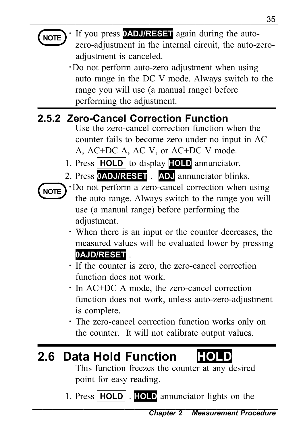| 35                                                                                                                                                                                                                                                                                                                                                                                                                                                                                                                                                                                                                                                                                                                                                                                                                                                                                                                                                |
|---------------------------------------------------------------------------------------------------------------------------------------------------------------------------------------------------------------------------------------------------------------------------------------------------------------------------------------------------------------------------------------------------------------------------------------------------------------------------------------------------------------------------------------------------------------------------------------------------------------------------------------------------------------------------------------------------------------------------------------------------------------------------------------------------------------------------------------------------------------------------------------------------------------------------------------------------|
| If you press <b>0ADJ/RESET</b> again during the auto-<br>NOTE<br>zero-adjustment in the internal circuit, the auto-zero-<br>adjustment is canceled.<br>Do not perform auto-zero adjustment when using<br>auto range in the DC V mode. Always switch to the<br>range you will use (a manual range) before<br>performing the adjustment.                                                                                                                                                                                                                                                                                                                                                                                                                                                                                                                                                                                                            |
| 2.5.2 Zero-Cancel Correction Function<br>Use the zero-cancel correction function when the<br>counter fails to become zero under no input in AC<br>A, AC+DC A, AC V, or AC+DC V mode.<br>1. Press   HOLD   to display   [OLD annunciator.<br>2. Press <b>OADJ/RESET</b> . ADJ annunciator blinks.<br>· Do not perform a zero-cancel correction when using<br><b>NOTE</b><br>the auto range. Always switch to the range you will<br>use (a manual range) before performing the<br>adjustment.<br>· When there is an input or the counter decreases, the<br>measured values will be evaluated lower by pressing<br>0AJD/RESET<br>· If the counter is zero, the zero-cancel correction<br>function does not work.<br>· In AC+DC A mode, the zero-cancel correction<br>function does not work, unless auto-zero-adjustment<br>is complete.<br>• The zero-cancel correction function works only on<br>the counter. It will not calibrate output values. |
| 2.6 Data Hold Function<br>This function freezes the counter at any desired<br>point for easy reading.                                                                                                                                                                                                                                                                                                                                                                                                                                                                                                                                                                                                                                                                                                                                                                                                                                             |

1. Press **HOLD** . **HOLD** annunciator lights on the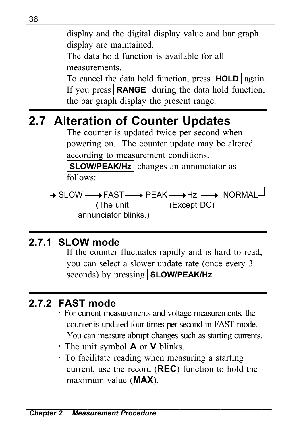――――――――――――――――――――――――――― display and the digital display value and bar graph display are maintained.

> The data hold function is available for all measurements.

To cancel the data hold function, press **HOLD** again. If you press **RANGE** during the data hold function, the bar graph display the present range.

## **2.7 Alteration of Counter Updates**

The counter is updated twice per second when powering on. The counter update may be altered according to measurement conditions.

**SLOW/PEAK/Hz** changes an annunciator as follows:

SLOW —→ FAST —→ PEAK —→ Hz —→ NORMAL (The unit annunciator blinks.) (Except DC)

## **2.7.1 SLOW mode**

If the counter fluctuates rapidly and is hard to read, you can select a slower update rate (once every 3 seconds) by pressing **SLOW/PEAK/Hz** .

## **2.7.2 FAST mode**

- ・ For current measurements and voltage measurements, the counter is updated four times per second in FAST mode. You can measure abrupt changes such as starting currents.
- ・ The unit symbol **A** or **V** blinks.
- ・ To facilitate reading when measuring a starting current, use the record (**REC**) function to hold the maximum value (**MAX**).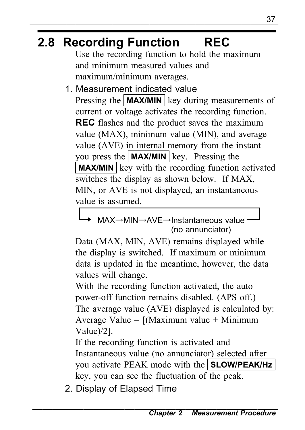## **2.8 Recording Function REC**

Use the recording function to hold the maximum and minimum measured values and maximum/minimum averages.

1. Measurement indicated value

Pressing the **MAX/MIN** key during measurements of current or voltage activates the recording function. **REC** flashes and the product saves the maximum value (MAX), minimum value (MIN), and average value (AVE) in internal memory from the instant you press the **MAX/MIN** key. Pressing the **MAX/MIN** key with the recording function activated switches the display as shown below. If MAX, MIN, or AVE is not displayed, an instantaneous value is assumed.

#### MAX→MIN→AVE→Instantaneous value (no annunciator)

Data (MAX, MIN, AVE) remains displayed while the display is switched. If maximum or minimum data is updated in the meantime, however, the data values will change.

With the recording function activated, the auto power-off function remains disabled. (APS off.) The average value (AVE) displayed is calculated by: Average Value =  $(Maximum value + Minimum)$ Value)/2].

If the recording function is activated and Instantaneous value (no annunciator) selected after you activate PEAK mode with the **SLOW/PEAK/Hz** key, you can see the fluctuation of the peak.

2. Display of Elapsed Time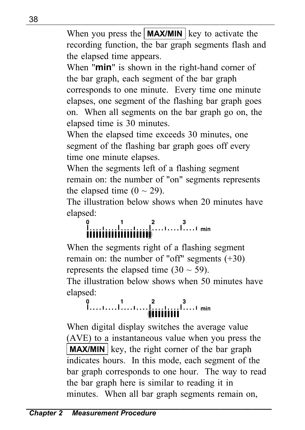――――――――――――――――――――――――――― When you press the  $\mathbf{MAX/MIN}$  key to activate the recording function, the bar graph segments flash and the elapsed time appears.

When "**min**" is shown in the right-hand corner of the bar graph, each segment of the bar graph corresponds to one minute. Every time one minute elapses, one segment of the flashing bar graph goes on. When all segments on the bar graph go on, the elapsed time is 30 minutes.

When the elapsed time exceeds 30 minutes, one segment of the flashing bar graph goes off every time one minute elapses.

When the segments left of a flashing segment remain on: the number of "on" segments represents the elapsed time  $(0 \sim 29)$ .

The illustration below shows when 20 minutes have

# elapsed:<br> $\int_{\text{iiiiiiiiii}}^0$   $\int_{\text{iiiiiiiii}}^1$   $\int_{\text{iiiiii}}^2$   $\ldots$   $\ldots$   $\frac{3}{2}$   $\ldots$  min

When the segments right of a flashing segment remain on: the number of "off" segments (+30) represents the elapsed time  $(30 \sim 59)$ . The illustration below shows when 50 minutes have

## elapsed:<br> $\begin{bmatrix} 0 & 1 & 0 & 0 \\ 0 & 0 & 0 & 0 \\ 0 & 0 & 0 & 0 \end{bmatrix}$

When digital display switches the average value (AVE) to a instantaneous value when you press the **MAX/MIN** key, the right corner of the bar graph indicates hours. In this mode, each segment of the bar graph corresponds to one hour. The way to read the bar graph here is similar to reading it in minutes. When all bar graph segments remain on,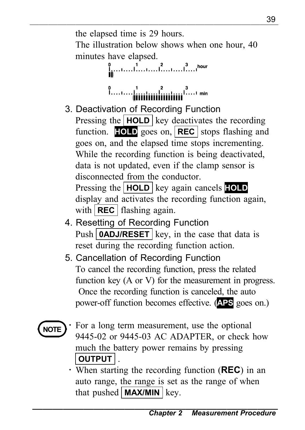<sup>39</sup> ――――――――――――――――――――――――――― the elapsed time is 29 hours. The illustration below shows when one hour, 40 minutes have elapsed.

$$
\mathbf{I}^{0}_{\mathbf{I}^{1}}\ldots\mathbf{I}^{1}\ldots\mathbf{I}^{2}\ldots\mathbf{I}^{3}\ldots\mathbf{I}^{hour}
$$

- 3. Deactivation of Recording Function Pressing the **HOLD** key deactivates the recording function. **HOLD** goes on, **REC** stops flashing and goes on, and the elapsed time stops incrementing. While the recording function is being deactivated, data is not updated, even if the clamp sensor is disconnected from the conductor. Pressing the **HOLD** key again cancels **HOLD** display and activates the recording function again, with **REC** flashing again.
- 4. Resetting of Recording Function Push **0ADJ/RESET** key, in the case that data is reset during the recording function action.
- 5. Cancellation of Recording Function To cancel the recording function, press the related function key (A or V) for the measurement in progress. Once the recording function is canceled, the auto power-off function becomes effective. (**APS** goes on.)



- For a long term measurement, use the optional 9445-02 or 9445-03 AC ADAPTER, or check how much the battery power remains by pressing **OUTPUT** .
- ・ When starting the recording function (**REC**) in an auto range, the range is set as the range of when that pushed  $MAX/MIN$  key.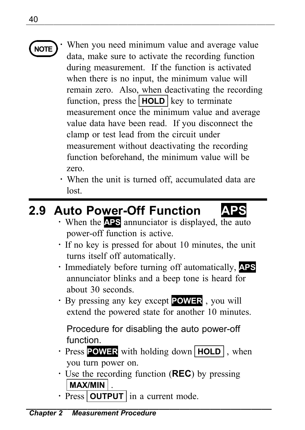

- **NOTE** When you need minimum value and average value data, make sure to activate the recording function during measurement. If the function is activated when there is no input, the minimum value will remain zero. Also, when deactivating the recording function, press the **HOLD** key to terminate measurement once the minimum value and average value data have been read. If you disconnect the clamp or test lead from the circuit under measurement without deactivating the recording function beforehand, the minimum value will be zero.
	- ・ When the unit is turned off, accumulated data are lost.

## **2.9 Auto Power-Off Function**



- ・ When the **APS** annunciator is displayed, the auto power-off function is active.
- ・ If no key is pressed for about 10 minutes, the unit turns itself off automatically.
- ・ Immediately before turning off automatically, **APS** annunciator blinks and a beep tone is heard for about 30 seconds.
- ・ By pressing any key except **POWER** , you will extend the powered state for another 10 minutes.

Procedure for disabling the auto power-off function.

- ・ Press **POWER** with holding down **HOLD** , when you turn power on.
- ・ Use the recording function (**REC**) by pressing **MAX/MIN** .
- Press **OUTPUT** in a current mode.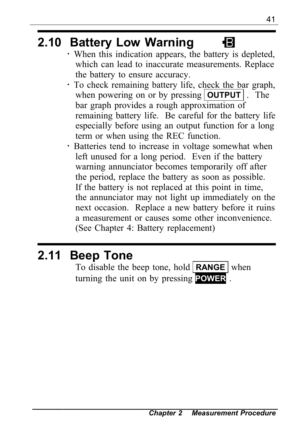## **2.10 Battery Low Warning**

- ・ When this indication appears, the battery is depleted, which can lead to inaccurate measurements. Replace the battery to ensure accuracy.
- ・ To check remaining battery life, check the bar graph, when powering on or by pressing **OUTPUT** . The bar graph provides a rough approximation of remaining battery life. Be careful for the battery life especially before using an output function for a long term or when using the REC function.
- ・ Batteries tend to increase in voltage somewhat when left unused for a long period. Even if the battery warning annunciator becomes temporarily off after the period, replace the battery as soon as possible. If the battery is not replaced at this point in time, the annunciator may not light up immediately on the next occasion. Replace a new battery before it ruins a measurement or causes some other inconvenience. (See Chapter 4: Battery replacement)

## **2.11 Beep Tone**

To disable the beep tone, hold **RANGE** when turning the unit on by pressing **POWER** .

B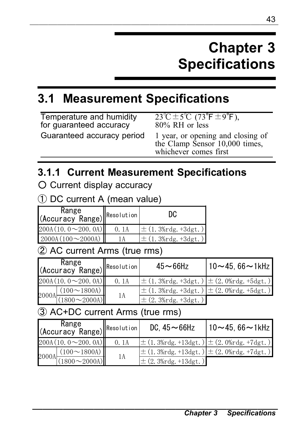## **Chapter 3 Specifications**

## **3.1 Measurement Specifications**

| Temperature and humidity   | $23^{\circ}$ C $\pm 5^{\circ}$ C $(73^{\circ}$ F $\pm 9^{\circ}$ F).                         |
|----------------------------|----------------------------------------------------------------------------------------------|
| for quaranteed accuracy    | $80\%$ RH or less                                                                            |
| Guaranteed accuracy period | 1 year, or opening and closing of<br>the Clamp Sensor 10,000 times,<br>whichever comes first |

### **3.1.1 Current Measurement Specifications**

○ Current display accuracy

① DC current A (mean value)

| Range<br>(Accuracy Range) Resolution |      | DC                                        |
|--------------------------------------|------|-------------------------------------------|
| 200A(10.0~200.0A)                    | 0.1A | $\pm (1.3\% \text{rdg.} + 3 \text{dgt.})$ |
| $2000A(100 \sim 2000A)$              |      | $\pm (1.3\% \text{rdg.} + 3 \text{dgt.})$ |

#### ② AC current Arms (true rms)

| Range<br>(Accuracy Range) <sup>Resolution</sup> |      | $45 - 66$ Hz                                                                      | $10 - 45.66 - 1$ kHz |
|-------------------------------------------------|------|-----------------------------------------------------------------------------------|----------------------|
| 200A(10.0~200.0A)                               | 0.1A | $\pm (1.3\% \text{rdg.} + 3 \text{dgt.}) \pm (2.0\% \text{rdg.} + 5 \text{dgt.})$ |                      |
| $(100 \sim 1800)$                               |      | $\pm (1.3\% \text{rdg.} + 3 \text{dgt.}) \pm (2.0\% \text{rdg.} + 5 \text{dgt.})$ |                      |
| $2000$ A $\frac{(1800 - 2000)$                  | 1А   | $\pm$ (2.3% rdg. +3dgt.)                                                          |                      |

#### ③ AC+DC current Arms (true rms)

| Range<br>(Accuracy Range) Resolution |      | DC. $45 - 66$ Hz                                                                   | $10 - 45.66 - 1$ kHz |
|--------------------------------------|------|------------------------------------------------------------------------------------|----------------------|
| 200A(10.0~200.0A)                    | 0.1A | $\pm (1.3\% \text{rdg.} + 13 \text{dgt.}) \pm (2.0\% \text{rdg.} + 7 \text{dgt.})$ |                      |
| $(100 \sim 1800)$                    |      | $\pm (1.3\% \text{rdg.} + 13 \text{dgt.}) \pm (2.0\% \text{rdg.} + 7 \text{dgt.})$ |                      |
| $2000$ A $\frac{(1800 - 2000)$       | 1А   | $\pm$ (2.3% rdg. +13 dgt.)                                                         |                      |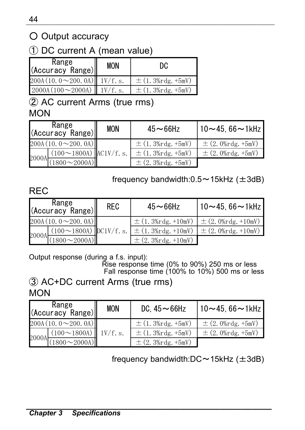### ○ Output accuracy

#### ① DC current A (mean value)

| Range<br>(Accuracy Range)         | <b>MON</b> | DC                     |
|-----------------------------------|------------|------------------------|
| $200A(10.0~200.0A)$ $1V/f.s.$     |            | $\pm$ (1.3% rdg. +5mV) |
| $2000A(100 \sim 2000A)$ $1V/f.s.$ |            | $\pm$ (1.3% rdg. +5mV) |

② AC current Arms (true rms) **MON** 

| Range<br>(Accuracy Range)                                      | <b>MON</b> | $45 - 66$ Hz           | 10∼45. 66∼1kHz         |
|----------------------------------------------------------------|------------|------------------------|------------------------|
| 200A(10.0~200.0A)                                              |            | $\pm$ (1.3% rdg. +5mV) | $\pm$ (2.0% rdg. +5mV) |
| $(100 \sim 1800)$ AC1V/f.s.<br>$2000 \text{A} \frac{(100)}{2}$ |            | $\pm$ (1.3% rdg. +5mV) | $\pm$ (2.0% rdg. +5mV) |
| $(1800 \sim 2000)$                                             |            | $\pm$ (2.3% rdg. +5mV) |                        |

#### frequency bandwidth: $0.5 \sim 15$ kHz ( $\pm 3$ dB)

REC

| Range<br>(Accuracy Range)                                            | <b>RFC</b> | $45 - 66$ Hz                                                                                                                     | $10 - 45, 66 - 1$ kHz                           |
|----------------------------------------------------------------------|------------|----------------------------------------------------------------------------------------------------------------------------------|-------------------------------------------------|
| 200A(10.0~200.0A)                                                    |            |                                                                                                                                  | $\pm$ (1.3% rdg. +10mV) $\pm$ (2.0% rdg. +10mV) |
|                                                                      |            | $(100 \sim 1800 \text{A})$ $\text{DC1V/f. s.}$ $\pm (1.3\% \text{rdg.} + 10 \text{mV})$ $\pm (2.0\% \text{rdg.} + 10 \text{mV})$ |                                                 |
| $2000 \text{A} \frac{(100 - 2000 \text{A})}{(1800 - 2000 \text{A})}$ |            | $\pm$ (2. 3% rdg. +10mV)                                                                                                         |                                                 |

Output response (during a f.s. input): Rise response time (0% to 90%) 250 ms or less Fall response time (100% to 10%) 500 ms or less

③ AC+DC current Arms (true rms) **MON** 

| Range<br>(Accuracy Range)                               | <b>MON</b> | DC. $45 - 66$ Hz       | $ 10 - 45, 66 - 1$ kHz |
|---------------------------------------------------------|------------|------------------------|------------------------|
| 200A(10.0~200.0A)                                       |            | $\pm$ (1.3% rdg. +5mV) | $\pm$ (2.0% rdg. +5mV) |
| $(100 \sim 1800)$ $\vert$ 1V/f. s.                      |            | $\pm$ (1.3% rdg. +5mV) | $\pm$ (2.0% rdg. +5mV) |
| $2000A \frac{(1800 \times 2000A)}{(1800 \times 2000A)}$ |            | $\pm$ (2.3% rdg. +5mV) |                        |

frequency bandwidth: $DC \sim 15kHz$  ( $\pm 3dB$ )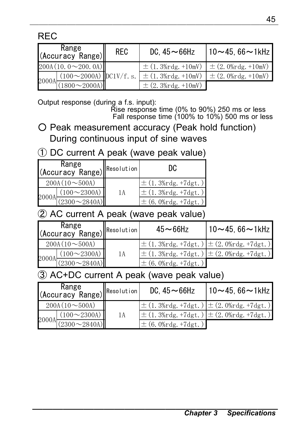| Range<br>$\left\  \begin{array}{c} \text{Range} \\ \text{(Accuracy Range)} \end{array} \right\ $                                                                                                                                           | <b>REC</b> | DC. $45 - 66$ Hz | $10 - 45.66 - 1$ kHz                            |
|--------------------------------------------------------------------------------------------------------------------------------------------------------------------------------------------------------------------------------------------|------------|------------------|-------------------------------------------------|
| 200A(10.0~200.0A)                                                                                                                                                                                                                          |            |                  | $\pm$ (1.3% rdg. +10mV) $\pm$ (2.0% rdg. +10mV) |
| $2000 \text{A} \frac{(100 \text{~} 2000 \text{A})}{(1800 \text{~} 2000 \text{A})} \bigg  \text{DClV/f. s.} = \frac{\pm (1.3\% \text{rdg.} + 10 \text{mV}) \pm (2.0\% \text{rdg.} + 10 \text{mV})}{\pm (2.3\% \text{rdg.} + 10 \text{mV})}$ |            |                  |                                                 |
|                                                                                                                                                                                                                                            |            |                  |                                                 |

Output response (during a f.s. input):

Rise response time (0% to 90%) 250 ms or less Fall response time (100% to 10%) 500 ms or less

- Peak measurement accuracy (Peak hold function) During continuous input of sine waves
- ① DC current A peak (wave peak value)

| Range<br>(Accuracy Range) Resolution |                                                                             |    | DC                                        |
|--------------------------------------|-----------------------------------------------------------------------------|----|-------------------------------------------|
| $200A(10\sim500A)$                   |                                                                             |    | $\pm (1.3\% \text{rdg. +7dgt.})$          |
|                                      | $(100 \sim 2300 \text{A})$                                                  | 1А | $\pm (1.3\% \text{rdg.} + 7 \text{dgt.})$ |
|                                      | $2000 \text{A} \frac{2000 \times 2840 \text{A}}{2300 \times 2840 \text{A}}$ |    | $\pm$ (6.0% rdg. +7 dgt.)                 |

#### ② AC current A peak (wave peak value)

| Range<br>(Accuracy Range) <sup>Resolution</sup>                                       |    | $45 - 66$ Hz                                                                      | $10 - 45.66 - 1$ kHz |
|---------------------------------------------------------------------------------------|----|-----------------------------------------------------------------------------------|----------------------|
| $200A(10 \sim 500A)$                                                                  |    | $\pm$ (1.3% rdg. +7dgt.) $\pm$ (2.0% rdg. +7dgt.)                                 |                      |
| $(100 \sim 2300 \text{A})$                                                            | 1A | $\pm (1.3\% \text{rdg.} + 7 \text{dgt.}) \pm (2.0\% \text{rdg.} + 7 \text{dgt.})$ |                      |
| $2000 \text{A} \frac{(2300 \text{ ~} 2840 \text{A})}{(2300 \text{ ~} 2840 \text{A})}$ |    | $\pm$ (6.0% rdg. +7dgt.)                                                          |                      |

#### ③ AC+DC current A peak (wave peak value)

| Range<br>(Accuracy Range) <sup>Resolution</sup> |                                |    | DC. $45 - 66$ Hz                          | $10 - 45.66 - 1$ kHz                                                              |
|-------------------------------------------------|--------------------------------|----|-------------------------------------------|-----------------------------------------------------------------------------------|
| $200A(10 \sim 500A)$                            |                                |    |                                           | $\pm (1.3\% \text{rdg. +7dgt.}) \pm (2.0\% \text{rdg. +7dgt.})$                   |
|                                                 | $(100 \sim 2300)$              | 1A |                                           | $\pm (1.3\% \text{rdg.} + 7 \text{dgt.}) \pm (2.0\% \text{rdg.} + 7 \text{dgt.})$ |
|                                                 | $2000$ A $\frac{(2300 - 2840)$ |    | $\pm (6.0\% \text{rdg.} + 7 \text{dgt.})$ |                                                                                   |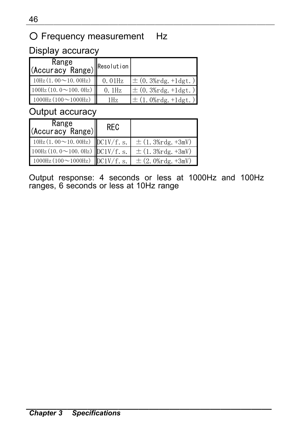#### ○ Frequency measurement Hz

#### Display accuracy

| Range<br>(Accuracy Range) Resolution       |                 |                                           |
|--------------------------------------------|-----------------|-------------------------------------------|
| $10\text{Hz}$ (1, 00 $\sim$ 10, 00Hz)      | $0.01$ Hz       | $\pm (0.3\% \text{rdg.} + 1 \text{dgt.})$ |
| $100Hz$ (10.0 $\sim$ 100.0Hz)              | $0.1$ Hz        | $\pm (0.3\% \text{rdg.} + 1 \text{dgt.})$ |
| $1000 \text{Hz} (100 \sim 1000 \text{Hz})$ | 1H <sub>z</sub> | $\pm$ (1.0%rdg. +1dgt.)]                  |

#### Output accuracy

| Range<br>(Accuracy Range)                            | <b>RFC</b> |                        |
|------------------------------------------------------|------------|------------------------|
| 10Hz (1.00 $\sim$ 10.00Hz) DC1V/f. s.                |            | $\pm$ (1.3% rdg. +3mV) |
| $100Hz$ (10.0~100.0Hz) DC1V/f. s.                    |            | $\pm$ (1.3% rdg. +3mV) |
| $1000 \text{Hz} (100 \sim 1000 \text{Hz})$ DC1V/f.s. |            | $\pm$ (2.0% rdg. +3mV) |

Output response: 4 seconds or less at 1000Hz and 100Hz ranges, 6 seconds or less at 10Hz range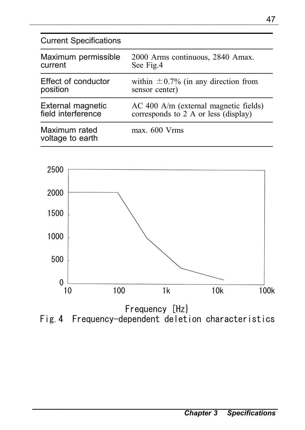#### Current Specifications

| Maximum permissible               | 2000 Arms continuous, 2840 Amax.          |
|-----------------------------------|-------------------------------------------|
| current                           | See Fig.4                                 |
| Effect of conductor               | within $\pm 0.7\%$ (in any direction from |
| position                          | sensor center)                            |
| External magnetic                 | AC 400 A/m (external magnetic fields)     |
| field interference                | corresponds to 2 A or less (display)      |
| Maximum rated<br>voltage to earth | max. 600 Vrms                             |



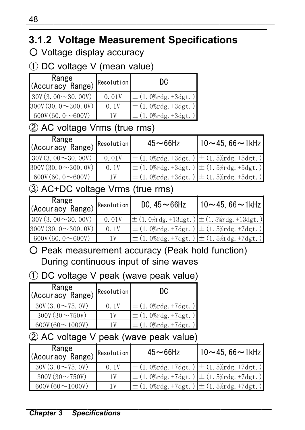## **3.1.2 Voltage Measurement Specifications**

○ Voltage display accuracy

① DC voltage V (mean value)

| Range<br>(Accuracy Range) | <b>IR</b> esolution | DC.                                       |
|---------------------------|---------------------|-------------------------------------------|
| $30V(3.00 \sim 30.00V)$   | 0.01V               | $\pm (1.0\% \text{rdg.} + 3 \text{dgt.})$ |
| $300V(30.0 \sim 300.0V)$  | 0.1V                | $\pm (1.0\% \text{rdg.} + 3 \text{dgt.})$ |
| 600V(60.0~0~0             |                     | $\pm (1.0\% \text{rdg.} + 3 \text{dgt.})$ |

#### ② AC voltage Vrms (true rms)

| Range<br>Resolution      |       | $45 - 66$ Hz                                                                      | $10 - 45.66 - 1$ kHz |
|--------------------------|-------|-----------------------------------------------------------------------------------|----------------------|
| $30V(3.00 \sim 30.00V)$  | 0.01V | $\pm (1.0\% \text{rdg.} + 3 \text{dgt.}) \pm (1.5\% \text{rdg.} + 5 \text{dgt.})$ |                      |
| $300V(30.0 \sim 300.0V)$ | 0.1V  | $\pm (1.0\% \text{rdg.} + 3 \text{dgt.}) \pm (1.5\% \text{rdg.} + 5 \text{dgt.})$ |                      |
| 600V(60.0~0~0            | 1 V   | $\pm (1.0\% \text{rdg.} + 3 \text{dgt.}) \pm (1.5\% \text{rdg.} + 5 \text{dgt.})$ |                      |

#### ③ AC+DC voltage Vrms (true rms)

| Range<br>Karige<br>(Accuracy Range) <sup>Resolution</sup> |       | DC. $45 - 66$ Hz | 10∼45. 66∼1kHz                                                                      |
|-----------------------------------------------------------|-------|------------------|-------------------------------------------------------------------------------------|
| $30V(3, 00 \sim 30, 00V)$                                 | 0.01V |                  | $\pm (1.0\% \text{rdg.} + 13 \text{dgt.}) \pm (1.5\% \text{rdg.} + 13 \text{dgt.})$ |
| $300V(30.0 \sim 300.0 V)$                                 | 0.1V  |                  | $\pm (1.0\% \text{rdg. +7dgt.}) \pm (1.5\% \text{rdg. +7dgt.})$                     |
| 600V(60.0~0~0                                             | 1 V   |                  | $\pm (1.0\% \text{rdg. +7dgt.}) \pm (1.5\% \text{rdg. +7dgt.})$                     |

○ Peak measurement accuracy (Peak hold function) During continuous input of sine waves

#### ① DC voltage V peak (wave peak value)

| Range<br>(Accuracy Range) Resolution |      | DC                                        |
|--------------------------------------|------|-------------------------------------------|
| $30V(3, 0 \sim 75, 0 V)$             | 0.1V | $\pm (1.0\% \text{rdg.} + 7 \text{dgt.})$ |
| $300V(30 \sim 750V)$                 | 1 V  | $\pm (1.0\% \text{rdg.} + 7 \text{dgt.})$ |
| 600V (60 $\sim$ 1000V)               |      | $\pm (1.0\% \text{rdg.} + 7 \text{dgt.})$ |

#### ② AC voltage V peak (wave peak value)

| Range<br>$\left  \begin{array}{c} \text{Ranige} \\ \text{(Accuracy Range)} \end{array} \right $ Resolution |      | $45 - 66$ Hz                                                                      | $10 - 45.66 - 1$ kHz |
|------------------------------------------------------------------------------------------------------------|------|-----------------------------------------------------------------------------------|----------------------|
| $30V(3, 0 \sim 75, 0V)$                                                                                    | 0.1V | $\pm (1.0\% \text{rdg. +7dgt.}) \pm (1.5\% \text{rdg. +7dgt.})$                   |                      |
| $300V(30 \sim 750V)$                                                                                       |      | $\pm (1.0\% \text{rdg.} + 7 \text{dgt.}) \pm (1.5\% \text{rdg.} + 7 \text{dgt.})$ |                      |
| $600V(60 \sim 1000V)$                                                                                      | 1 V  | $\pm (1.0\% \text{rdg. +7dgt.}) \pm (1.5\% \text{rdg. +7dgt.})$                   |                      |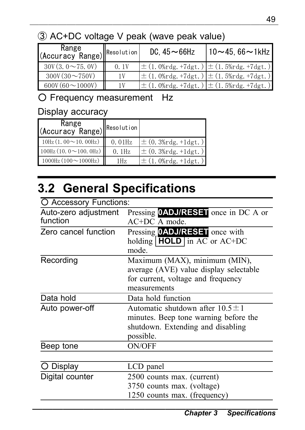## ③ AC+DC voltage V peak (wave peak value)

| Range<br>(Accuracy Range) Resolution |      | DC. $45 - 66$ Hz | $10 - 45.66 - 1$ kHz                                            |
|--------------------------------------|------|------------------|-----------------------------------------------------------------|
| $30V(3, 0 \sim 75, 0 V)$             | 0.1V |                  | $\pm (1.0\% \text{rdg. +7dgt.}) \pm (1.5\% \text{rdg. +7dgt.})$ |
| $300V(30 \sim 750V)$                 | 1 V  |                  | $\pm (1.0\% \text{rdg. +7dgt.}) \pm (1.5\% \text{rdg. +7dgt.})$ |
| $600V(60 \sim 1000V)$                | 1 V  |                  | $\pm (1.0\% \text{rdg. +7dgt.}) \pm (1.5\% \text{rdg. +7dgt.})$ |

○ Frequency measurement Hz

#### Display accuracy

| Range<br>(Accuracy Range) Resolution       |           |                                           |
|--------------------------------------------|-----------|-------------------------------------------|
| $10Hz(1.00 \sim 10.00 Hz)$                 | $0.01$ Hz | $\pm (0.3\% \text{rdg.} + 1 \text{dgt.})$ |
| $100Hz(10.0 \sim 100.0 Hz)$                | $0.1$ Hz  | $\pm (0.3\% \text{rdg.} + 1 \text{dgt.})$ |
| $1000 \text{Hz} (100 \sim 1000 \text{Hz})$ | 1Hz       | $\pm (1.0\% \text{rdg.} + 1 \text{dgt.})$ |

## **3.2 General Specifications**

| O Accessory Functions:           |                                                                                                                                  |
|----------------------------------|----------------------------------------------------------------------------------------------------------------------------------|
| Auto-zero adjustment<br>function | Pressing <b>OADJ/RESET</b> once in DC A or<br>$AC+DC$ A mode.                                                                    |
| Zero cancel function             | Pressing <b>OADJ/RESET</b> once with<br>holding $HOLD$ in AC or AC+DC<br>mode.                                                   |
| Recording                        | Maximum (MAX), minimum (MIN),<br>average (AVE) value display selectable<br>for current, voltage and frequency<br>measurements    |
| Data hold                        | Data hold function                                                                                                               |
| Auto power-off                   | Automatic shutdown after $10.5 \pm 1$<br>minutes. Beep tone warning before the<br>shutdown. Extending and disabling<br>possible. |
| Beep tone                        | <b>ON/OFF</b>                                                                                                                    |
| Display                          | LCD panel                                                                                                                        |
| Digital counter                  |                                                                                                                                  |
|                                  | 2500 counts max. (current)<br>3750 counts max. (voltage)<br>1250 counts max. (frequency)                                         |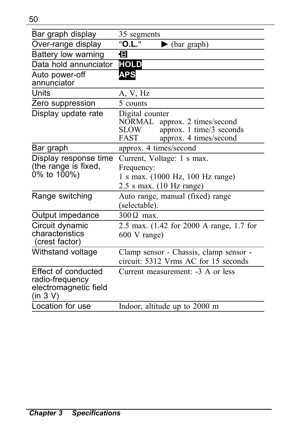| Bar graph display                                                           | 35 segments                                                                                                                |  |
|-----------------------------------------------------------------------------|----------------------------------------------------------------------------------------------------------------------------|--|
| Over-range display                                                          | "O.L."<br>$\blacktriangleright$ (bar graph)                                                                                |  |
| Battery low warning                                                         | Ð                                                                                                                          |  |
| Data hold annunciator                                                       | <b>HOLD</b>                                                                                                                |  |
| Auto power-off<br>annunciator                                               | <b>APS</b>                                                                                                                 |  |
| Units                                                                       | A, V, Hz                                                                                                                   |  |
| Zero suppression                                                            | 5 counts                                                                                                                   |  |
| Display update rate                                                         | Digital counter<br>NORMAL.<br>approx. 2 times/second<br>approx. 1 time/3 seconds<br>SLOW<br>approx. 4 times/second<br>FAST |  |
| Bar graph                                                                   | approx. 4 times/second                                                                                                     |  |
| Display response time<br>(the range is fixed,<br>0% to 100%)                | Current, Voltage: 1 s max.<br>Frequency:<br>1 s max. (1000 Hz, 100 Hz range)<br>$2.5$ s max. $(10$ Hz range)               |  |
| Range switching                                                             | Auto range, manual (fixed) range<br>(selectable).                                                                          |  |
| Output impedance                                                            | $300 \Omega$ max.                                                                                                          |  |
| Circuit dynamic<br>characteristics<br>(crest factor)                        | 2.5 max. (1.42 for 2000 A range, 1.7 for<br>$600$ V range)                                                                 |  |
| Withstand voltage                                                           | Clamp sensor - Chassis, clamp sensor -<br>circuit: 5312 Vrms AC for 15 seconds                                             |  |
| Effect of conducted<br>radio-frequency<br>electromagnetic field<br>(in 3 V) | Current measurement: -3 A or less                                                                                          |  |
| Location for use                                                            | Indoor, altitude up to 2000 m                                                                                              |  |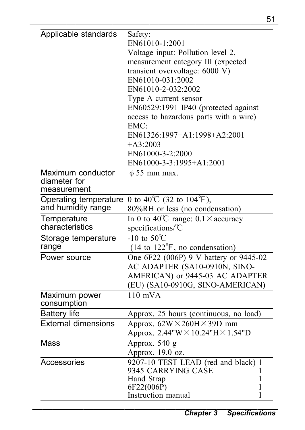|                                                  | 51                                                                                                                                                                                                                                                                                                                                                                                                |  |
|--------------------------------------------------|---------------------------------------------------------------------------------------------------------------------------------------------------------------------------------------------------------------------------------------------------------------------------------------------------------------------------------------------------------------------------------------------------|--|
| Applicable standards                             | Safety:<br>EN61010-1:2001<br>Voltage input: Pollution level 2,<br>measurement category III (expected<br>transient overvoltage: 6000 V)<br>EN61010-031:2002<br>EN61010-2-032:2002<br>Type A current sensor<br>EN60529:1991 IP40 (protected against<br>access to hazardous parts with a wire)<br>EMC:<br>EN61326:1997+A1:1998+A2:2001<br>$+A3:2003$<br>EN61000-3-2:2000<br>EN61000-3-3:1995+A1:2001 |  |
| Maximum conductor<br>diameter for<br>measurement | $\phi$ 55 mm max.                                                                                                                                                                                                                                                                                                                                                                                 |  |
| Operating temperature<br>and humidity range      | 0 to 40 <sup>°</sup> C (32 to 104 <sup>°</sup> F),<br>80%RH or less (no condensation)                                                                                                                                                                                                                                                                                                             |  |
| Temperature<br>characteristics                   | In 0 to 40°C range: $0.1 \times$ accuracy<br>specifications/°C                                                                                                                                                                                                                                                                                                                                    |  |
| Storage temperature<br>range                     | $-10$ to 50 <sup>°</sup> C<br>(14 to 122°F, no condensation)                                                                                                                                                                                                                                                                                                                                      |  |
| Power source                                     | One 6F22 (006P) 9 V battery or 9445-02<br>AC ADAPTER (SA10-0910N, SINO-<br>AMERICAN) or 9445-03 AC ADAPTER<br>(EU) (SA10-0910G, SINO-AMERICAN)                                                                                                                                                                                                                                                    |  |
| Maximum power<br>consumption                     | $110$ mVA                                                                                                                                                                                                                                                                                                                                                                                         |  |
| <b>Battery life</b>                              | Approx. 25 hours (continuous, no load)                                                                                                                                                                                                                                                                                                                                                            |  |
| <b>External dimensions</b>                       | Approx. $62W \times 260H \times 39D$ mm<br>Approx. 2.44"W × 10.24"H × 1.54"D                                                                                                                                                                                                                                                                                                                      |  |
| Mass                                             | Approx. 540 g<br>Approx. 19.0 oz.                                                                                                                                                                                                                                                                                                                                                                 |  |
| Accessories                                      | 9207-10 TEST LEAD (red and black) 1<br>9345 CARRYING CASE<br>1<br>Hand Strap<br>1<br>6F22(006P)<br>1<br>Instruction manual<br>1                                                                                                                                                                                                                                                                   |  |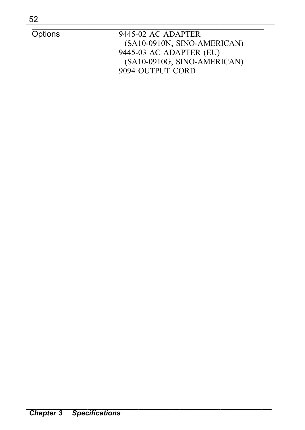| 52      |                             |
|---------|-----------------------------|
| Options | 9445-02 AC ADAPTER          |
|         | (SA10-0910N, SINO-AMERICAN) |
|         | 9445-03 AC ADAPTER (EU)     |
|         | (SA10-0910G, SINO-AMERICAN) |
|         | 9094 OUTPUT CORD            |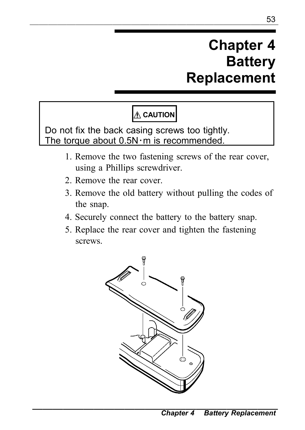## **Chapter 4 Battery Replacement**

## **CAUTION**

Do not fix the back casing screws too tightly. The torque about  $0.5N \cdot m$  is recommended.

- 1. Remove the two fastening screws of the rear cover, using a Phillips screwdriver.
- 2. Remove the rear cover.
- 3. Remove the old battery without pulling the codes of the snap.
- 4. Securely connect the battery to the battery snap.
- 5. Replace the rear cover and tighten the fastening screws.

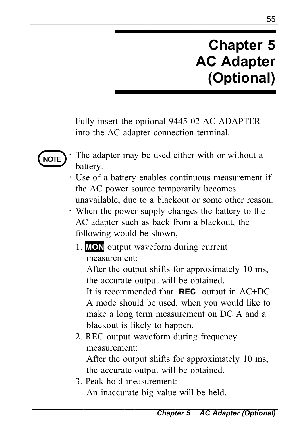## **Chapter 5 AC Adapter (Optional)**

Fully insert the optional 9445-02 AC ADAPTER into the AC adapter connection terminal.



- The adapter may be used either with or without a battery.
- ・ Use of a battery enables continuous measurement if the AC power source temporarily becomes unavailable, due to a blackout or some other reason.
- ・ When the power supply changes the battery to the AC adapter such as back from a blackout, the following would be shown,
	- 1. **MON** output waveform during current measurement:

After the output shifts for approximately 10 ms, the accurate output will be obtained.

It is recommended that **REC** output in AC+DC A mode should be used, when you would like to make a long term measurement on DC A and a blackout is likely to happen.

2. REC output waveform during frequency measurement:

After the output shifts for approximately 10 ms, the accurate output will be obtained.

3. Peak hold measurement:

An inaccurate big value will be held.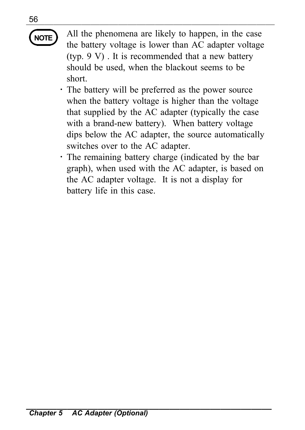## ―――――――――――――――――――――――――――

**NOTE** All the phenomena are likely to happen, in the case the battery voltage is lower than AC adapter voltage (typ. 9 V) . It is recommended that a new battery should be used, when the blackout seems to be short.

- ・ The battery will be preferred as the power source when the battery voltage is higher than the voltage that supplied by the AC adapter (typically the case with a brand-new battery). When battery voltage dips below the AC adapter, the source automatically switches over to the AC adapter.
- ・ The remaining battery charge (indicated by the bar graph), when used with the AC adapter, is based on the AC adapter voltage. It is not a display for battery life in this case.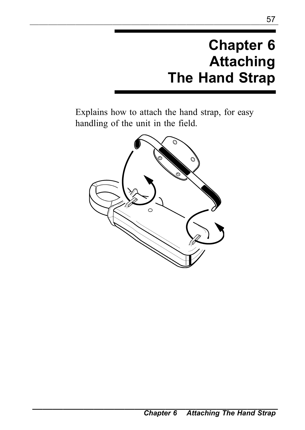# **Chapter 6 Attaching The Hand Strap**

Explains how to attach the hand strap, for easy handling of the unit in the field.

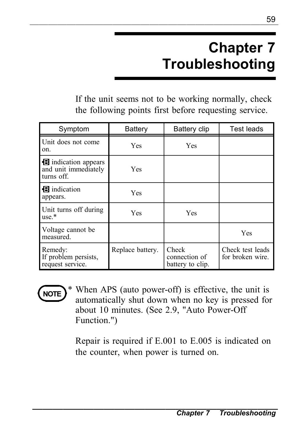# **Chapter 7 Troubleshooting**

If the unit seems not to be working normally, check the following points first before requesting service.

| Symptom                                                  | Battery          | Battery clip                               | Test leads                          |
|----------------------------------------------------------|------------------|--------------------------------------------|-------------------------------------|
| Unit does not come<br>on.                                | Yes              | Yes                                        |                                     |
| indication appears<br>and unit immediately<br>turns off. | Yes              |                                            |                                     |
| <b>B</b> indication<br>appears.                          | Yes              |                                            |                                     |
| Unit turns off during<br>$use.*$                         | Yes              | Yes                                        |                                     |
| Voltage cannot be<br>measured.                           |                  |                                            | Yes                                 |
| Remedy:<br>If problem persists.<br>request service.      | Replace battery. | Check<br>connection of<br>battery to clip. | Check test leads<br>for broken wire |



When APS (auto power-off) is effective, the unit is automatically shut down when no key is pressed for about 10 minutes. (See 2.9, "Auto Power-Off Function.")

Repair is required if E.001 to E.005 is indicated on the counter, when power is turned on.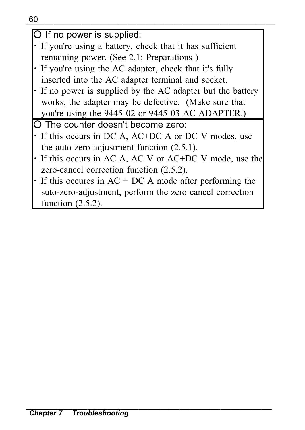| O If no power is supplied: |  |
|----------------------------|--|

- ・ If you're using a battery, check that it has sufficient remaining power. (See 2.1: Preparations )
- ・ If you're using the AC adapter, check that it's fully inserted into the AC adapter terminal and socket.
- ・ If no power is supplied by the AC adapter but the battery works, the adapter may be defective. (Make sure that you're using the 9445-02 or 9445-03 AC ADAPTER.)

○ The counter doesn't become zero:

- ・ If this occurs in DC A, AC+DC A or DC V modes, use the auto-zero adjustment function (2.5.1).
- ・ If this occurs in AC A, AC V or AC+DC V mode, use the zero-cancel correction function (2.5.2).
- $\cdot$  If this occures in AC + DC A mode after performing the suto-zero-adjustment, perform the zero cancel correction function (2.5.2).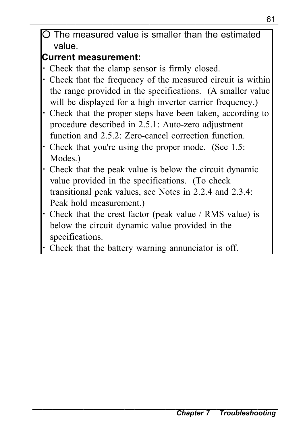<sup>61</sup> ――――――――――――――――――――――――――― The measured value is smaller than the estimated value.

### **Current measurement:**

- Check that the clamp sensor is firmly closed.
- Check that the frequency of the measured circuit is within the range provided in the specifications. (A smaller value will be displayed for a high inverter carrier frequency.)
- Check that the proper steps have been taken, according to procedure described in 2.5.1: Auto-zero adjustment function and 2.5.2: Zero-cancel correction function.
- Check that you're using the proper mode. (See 1.5: Modes.)
- Check that the peak value is below the circuit dynamic value provided in the specifications. (To check transitional peak values, see Notes in 2.2.4 and 2.3.4: Peak hold measurement.)
- Check that the crest factor (peak value / RMS value) is below the circuit dynamic value provided in the specifications.
- Check that the battery warning annunciator is off.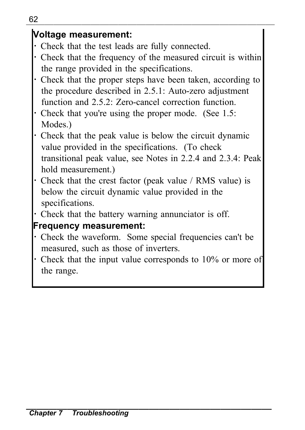#### UZ **Voltage measurement:**

- ・ Check that the test leads are fully connected.
- ・ Check that the frequency of the measured circuit is within the range provided in the specifications.
- ・ Check that the proper steps have been taken, according to the procedure described in 2.5.1: Auto-zero adjustment function and 2.5.2: Zero-cancel correction function.
- ・ Check that you're using the proper mode. (See 1.5: Modes.)
- ・ Check that the peak value is below the circuit dynamic value provided in the specifications. (To check transitional peak value, see Notes in 2.2.4 and 2.3.4: Peak hold measurement.)
- ・ Check that the crest factor (peak value / RMS value) is below the circuit dynamic value provided in the specifications.
- ・ Check that the battery warning annunciator is off.

#### **Frequency measurement:**

- ・ Check the waveform. Some special frequencies can't be measured, such as those of inverters.
- ・ Check that the input value corresponds to 10% or more of the range.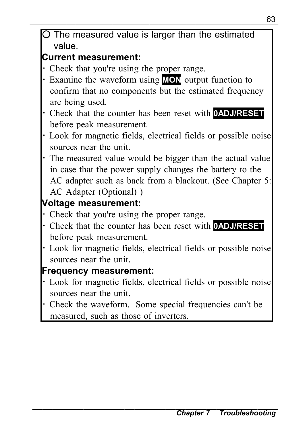#### **Current measurement:**

- ・ Check that you're using the proper range.
- ・ Examine the waveform using **MON** output function to confirm that no components but the estimated frequency are being used.
- ・ Check that the counter has been reset with **0ADJ/RESET** before peak measurement.
- ・ Look for magnetic fields, electrical fields or possible noise sources near the unit.
- ・ The measured value would be bigger than the actual value in case that the power supply changes the battery to the AC adapter such as back from a blackout. (See Chapter 5: AC Adapter (Optional) )

### **Voltage measurement:**

- Check that you're using the proper range.
- ・ Check that the counter has been reset with **0ADJ/RESET** before peak measurement.
- ・ Look for magnetic fields, electrical fields or possible noise sources near the unit.

### **Frequency measurement:**

- ・ Look for magnetic fields, electrical fields or possible noise sources near the unit.
- ・ Check the waveform. Some special frequencies can't be measured, such as those of inverters.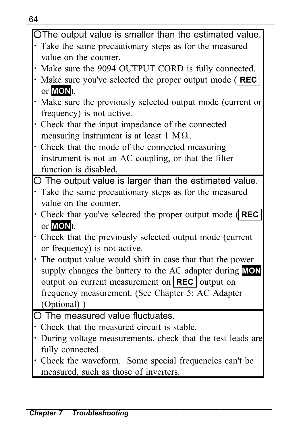| OThe output value is smaller than the estimated value.              |  |  |
|---------------------------------------------------------------------|--|--|
| Take the same precautionary steps as for the measured               |  |  |
| value on the counter.                                               |  |  |
| Make sure the 9094 OUTPUT CORD is fully connected.                  |  |  |
| Make sure you've selected the proper output mode $\parallel$ REC    |  |  |
| or <b>MON</b> ).                                                    |  |  |
| Make sure the previously selected output mode (current or           |  |  |
| frequency) is not active.                                           |  |  |
| Check that the input impedance of the connected                     |  |  |
| measuring instrument is at least $1 M\Omega$ .                      |  |  |
| Check that the mode of the connected measuring                      |  |  |
| instrument is not an AC coupling, or that the filter                |  |  |
| function is disabled.                                               |  |  |
| O The output value is larger than the estimated value.              |  |  |
| Take the same precautionary steps as for the measured               |  |  |
| value on the counter.                                               |  |  |
| • Check that you've selected the proper output mode $\parallel$ REC |  |  |
| or MON).                                                            |  |  |
| Check that the previously selected output mode (current             |  |  |
| or frequency) is not active.                                        |  |  |
| The output value would shift in case that that the power            |  |  |
| supply changes the battery to the AC adapter during MON             |  |  |
| output on current measurement on $ {\text{REC}} $ output on         |  |  |
| frequency measurement. (See Chapter 5: AC Adapter                   |  |  |
| (Optional))                                                         |  |  |
| O The measured value fluctuates.                                    |  |  |
| Check that the measured circuit is stable.                          |  |  |
| During voltage measurements, check that the test leads are          |  |  |
| fully connected.                                                    |  |  |
| Check the waveform. Some special frequencies can't be               |  |  |
| measured, such as those of inverters.                               |  |  |
|                                                                     |  |  |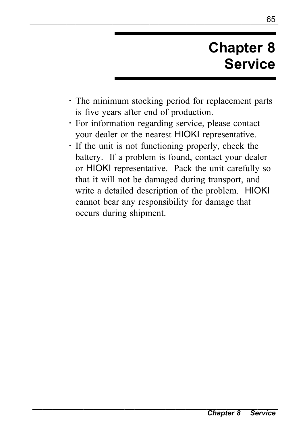# **Chapter 8 Service**

- ・ The minimum stocking period for replacement parts is five years after end of production.
- ・ For information regarding service, please contact your dealer or the nearest HIOKI representative.

<sup>65</sup> ―――――――――――――――――――――――――――

・ If the unit is not functioning properly, check the battery. If a problem is found, contact your dealer or HIOKI representative. Pack the unit carefully so that it will not be damaged during transport, and write a detailed description of the problem. HIOKI cannot bear any responsibility for damage that occurs during shipment.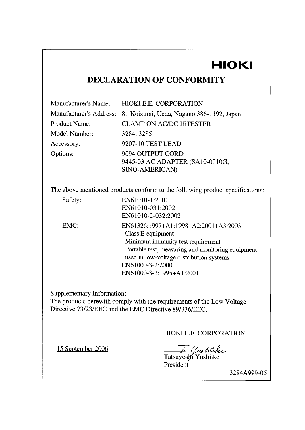## HIOKI

#### DECLARATION OF CONFORMITY

| Manufacturer's Name:    | <b>HIOKI E.E. CORPORATION</b>            |
|-------------------------|------------------------------------------|
| Manufacturer's Address: | 81 Koizumi, Ueda, Nagano 386-1192, Japan |
| Product Name:           | <b>CLAMP ON AC/DC HITESTER</b>           |
| Model Number:           | 3284.3285                                |
| Accessory:              | 9207-10 TEST LEAD                        |
| Options:                | 9094 OUTPUT CORD                         |
|                         | 9445-03 AC ADAPTER (SA10-0910G,          |
|                         | SINO-AMERICAN)                           |

The above mentioned products conform to the following product specifications:

EN61010-1:2001 EN61010-031:2002

Safety: EMC:

EN61010-2-032:2002 EN61326:1997+A1:1998+A2:2001+A3:2003 Class B equipment Minimum immunity test requirement Portable test, measuring and monitoring equipment used in low-voltage distribution systems EN61000-3-2:2000 EN61000-3-3:1995+A1:2001

Supplementary Information:

The products herewith comply with the requirements of the Low Voltage Directive 73/23/EEC and the EMC Directive 89/336/EEC.

#### HIOKI E.E. CORPORATION

15 September 2006

Tatsuyosyi Yoshiike

President

3284A999-05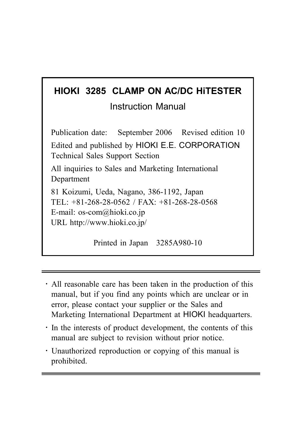## **HIOKI 3285 CLAMP ON AC/DC HiTESTER**

Instruction Manual

Publication date: September 2006 Revised edition 10 Edited and published by HIOKI E.E. CORPORATION Technical Sales Support Section All inquiries to Sales and Marketing International **Department** 81 Koizumi, Ueda, Nagano, 386-1192, Japan TEL: +81-268-28-0562 / FAX: +81-268-28-0568 E-mail: os-com@hioki.co.jp URL http://www.hioki.co.jp/

Printed in Japan 3285A980-10

- ・ All reasonable care has been taken in the production of this manual, but if you find any points which are unclear or in error, please contact your supplier or the Sales and Marketing International Department at HIOKI headquarters.
- ・ In the interests of product development, the contents of this manual are subject to revision without prior notice.
- ・ Unauthorized reproduction or copying of this manual is prohibited.